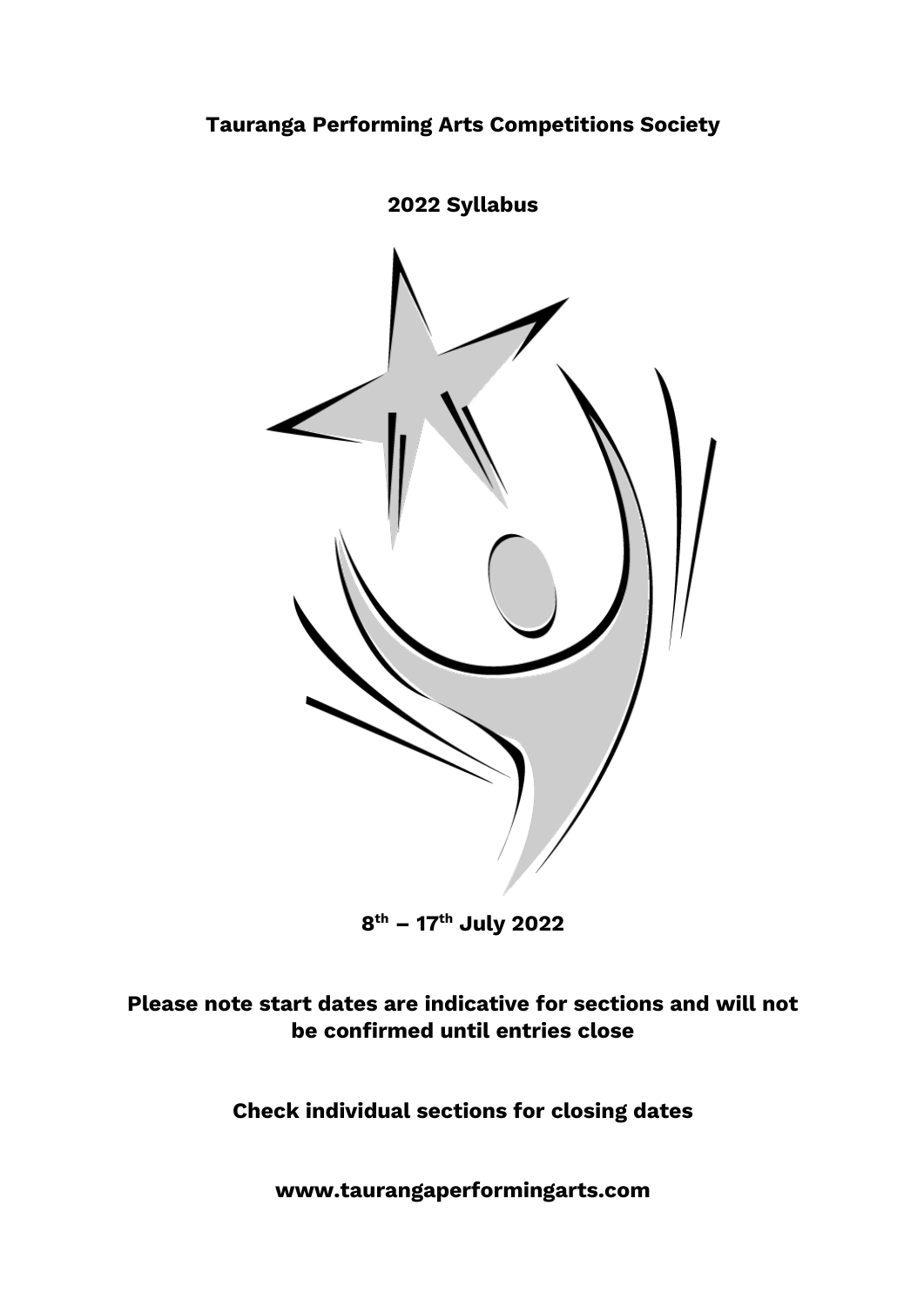

**8 th – 17 th July 2022**

# **Please note start dates are indicative for sections and will not be confirmed until entries close**

**Check individual sections for closing dates**

**www.taurangaperformingarts.com**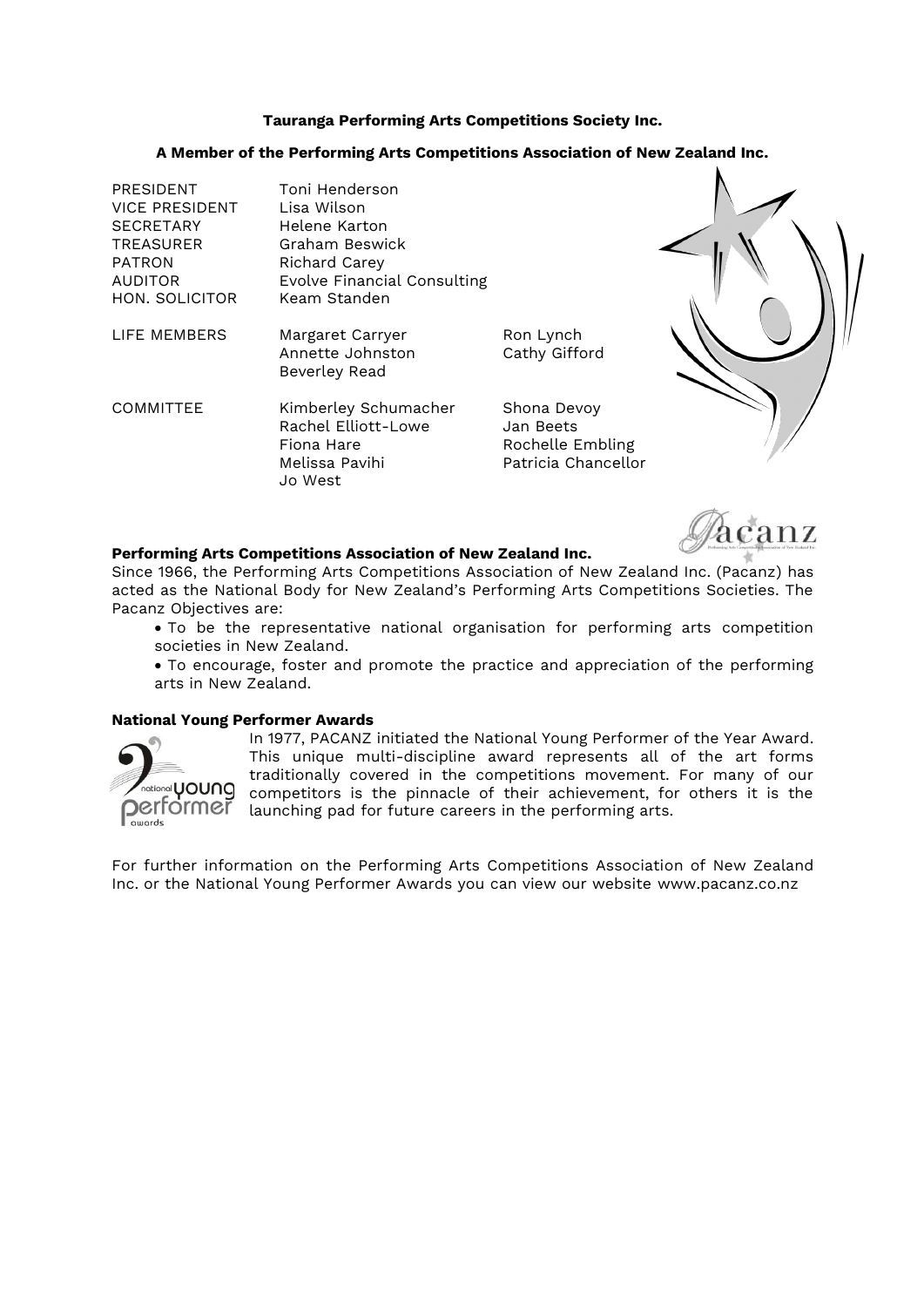#### **Tauranga Performing Arts Competitions Society Inc.**

#### **A Member of the Performing Arts Competitions Association of New Zealand Inc.**

| <b>PRESIDENT</b><br><b>VICE PRESIDENT</b><br><b>SECRETARY</b><br><b>TREASURER</b><br><b>PATRON</b><br><b>AUDITOR</b><br>HON. SOLICITOR | Toni Henderson<br>Lisa Wilson<br>Helene Karton<br>Graham Beswick<br>Richard Carey<br>Evolve Financial Consulting<br>Keam Standen |                                                                     |  |
|----------------------------------------------------------------------------------------------------------------------------------------|----------------------------------------------------------------------------------------------------------------------------------|---------------------------------------------------------------------|--|
| LIFE MEMBERS                                                                                                                           | Margaret Carryer<br>Annette Johnston<br>Beverley Read                                                                            | Ron Lynch<br>Cathy Gifford                                          |  |
| <b>COMMITTEE</b>                                                                                                                       | Kimberley Schumacher<br>Rachel Elliott-Lowe<br>Fiona Hare<br>Melissa Pavihi<br>Jo West                                           | Shona Devoy<br>Jan Beets<br>Rochelle Embling<br>Patricia Chancellor |  |

### **Performing Arts Competitions Association of New Zealand Inc.**

Since 1966, the Performing Arts Competitions Association of New Zealand Inc. (Pacanz) has acted as the National Body for New Zealand's Performing Arts Competitions Societies. The Pacanz Objectives are:

- To be the representative national organisation for performing arts competition societies in New Zealand.
- To encourage, foster and promote the practice and appreciation of the performing arts in New Zealand.

#### **National Young Performer Awards**



In 1977, PACANZ initiated the National Young Performer of the Year Award. This unique multi-discipline award represents all of the art forms traditionally covered in the competitions movement. For many of our  $\overline{\mathsf{C}}$ national $\mathsf{Y}$ OUN $\mathsf{Q}\,$  competitors is the pinnacle of their achievement, for others it is the  $\bullet$  Delt $\circ$  of Traunching pad for future careers in the performing arts.

nz

For further information on the Performing Arts Competitions Association of New Zealand Inc. or the National Young Performer Awards you can view our website www.pacanz.co.nz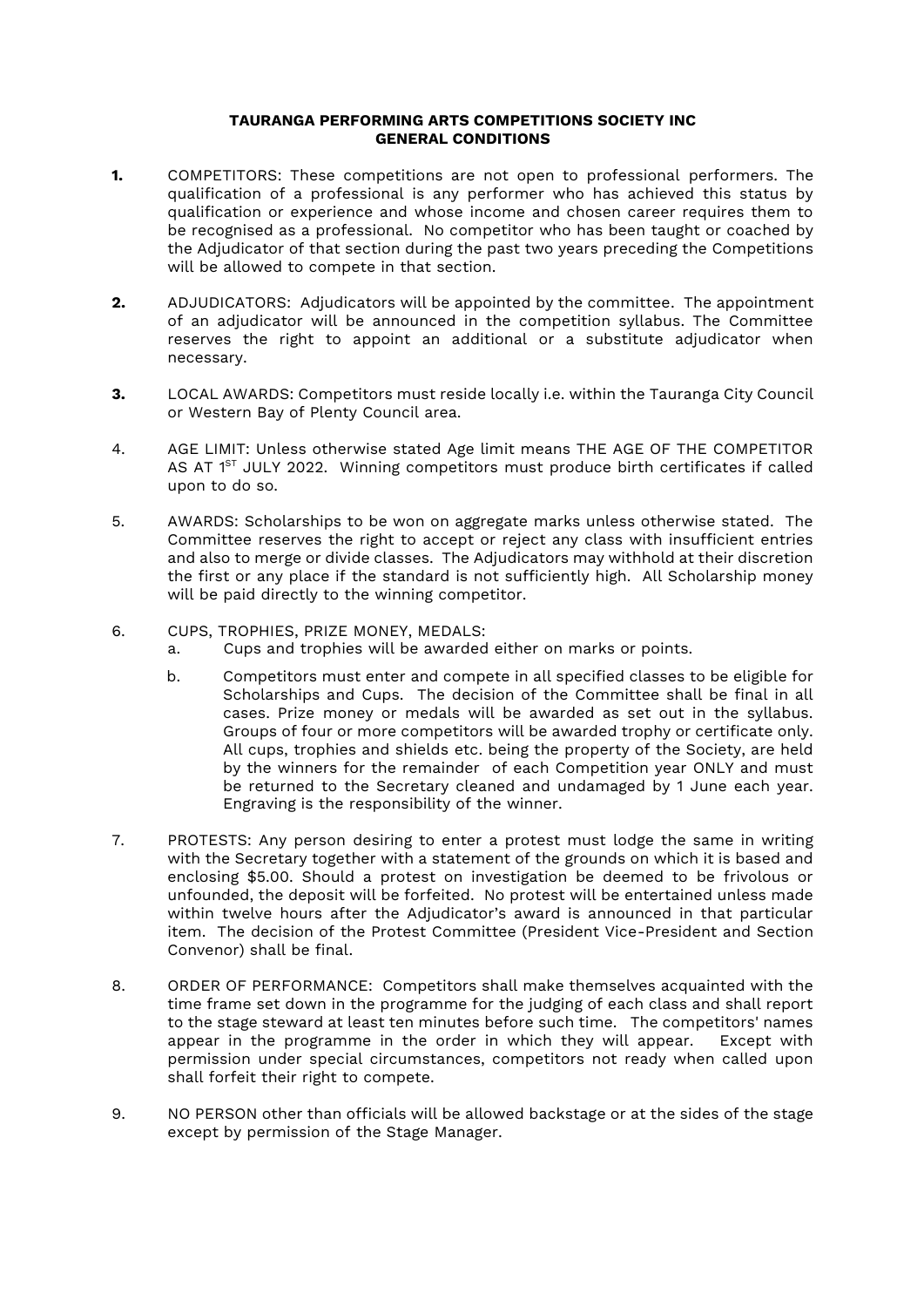#### **TAURANGA PERFORMING ARTS COMPETITIONS SOCIETY INC GENERAL CONDITIONS**

- **1.** COMPETITORS: These competitions are not open to professional performers. The qualification of a professional is any performer who has achieved this status by qualification or experience and whose income and chosen career requires them to be recognised as a professional. No competitor who has been taught or coached by the Adjudicator of that section during the past two years preceding the Competitions will be allowed to compete in that section.
- **2.** ADJUDICATORS: Adjudicators will be appointed by the committee. The appointment of an adjudicator will be announced in the competition syllabus. The Committee reserves the right to appoint an additional or a substitute adjudicator when necessary.
- **3.** LOCAL AWARDS: Competitors must reside locally i.e. within the Tauranga City Council or Western Bay of Plenty Council area.
- 4. AGE LIMIT: Unless otherwise stated Age limit means THE AGE OF THE COMPETITOR AS AT  $1^\text{ST}$  JULY 2022. Winning competitors must produce birth certificates if called upon to do so.
- 5. AWARDS: Scholarships to be won on aggregate marks unless otherwise stated. The Committee reserves the right to accept or reject any class with insufficient entries and also to merge or divide classes. The Adjudicators may withhold at their discretion the first or any place if the standard is not sufficiently high. All Scholarship money will be paid directly to the winning competitor.
- 6. CUPS, TROPHIES, PRIZE MONEY, MEDALS:
	- a. Cups and trophies will be awarded either on marks or points.
	- b. Competitors must enter and compete in all specified classes to be eligible for Scholarships and Cups. The decision of the Committee shall be final in all cases. Prize money or medals will be awarded as set out in the syllabus. Groups of four or more competitors will be awarded trophy or certificate only. All cups, trophies and shields etc. being the property of the Society, are held by the winners for the remainder of each Competition year ONLY and must be returned to the Secretary cleaned and undamaged by 1 June each year. Engraving is the responsibility of the winner.
- 7. PROTESTS: Any person desiring to enter a protest must lodge the same in writing with the Secretary together with a statement of the grounds on which it is based and enclosing \$5.00. Should a protest on investigation be deemed to be frivolous or unfounded, the deposit will be forfeited. No protest will be entertained unless made within twelve hours after the Adjudicator's award is announced in that particular item. The decision of the Protest Committee (President Vice-President and Section Convenor) shall be final.
- 8. ORDER OF PERFORMANCE: Competitors shall make themselves acquainted with the time frame set down in the programme for the judging of each class and shall report to the stage steward at least ten minutes before such time. The competitors' names appear in the programme in the order in which they will appear. Except with permission under special circumstances, competitors not ready when called upon shall forfeit their right to compete.
- 9. NO PERSON other than officials will be allowed backstage or at the sides of the stage except by permission of the Stage Manager.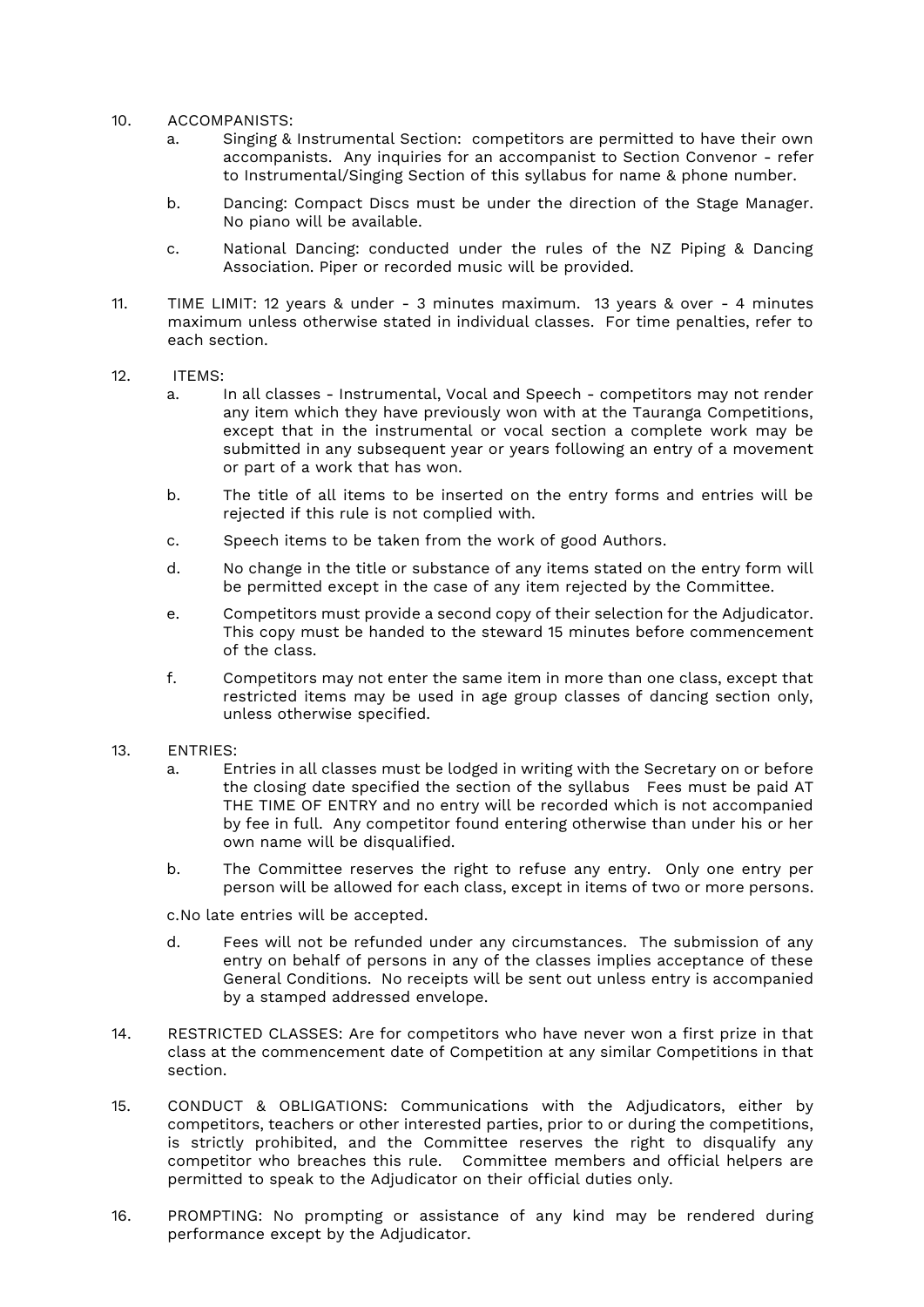- 10. ACCOMPANISTS:
	- a. Singing & Instrumental Section: competitors are permitted to have their own accompanists. Any inquiries for an accompanist to Section Convenor - refer to Instrumental/Singing Section of this syllabus for name & phone number.
	- b. Dancing: Compact Discs must be under the direction of the Stage Manager. No piano will be available.
	- c. National Dancing: conducted under the rules of the NZ Piping & Dancing Association. Piper or recorded music will be provided.
- 11. TIME LIMIT: 12 years & under 3 minutes maximum. 13 years & over 4 minutes maximum unless otherwise stated in individual classes. For time penalties, refer to each section.
- 12. ITEMS:
	- a. In all classes Instrumental, Vocal and Speech competitors may not render any item which they have previously won with at the Tauranga Competitions, except that in the instrumental or vocal section a complete work may be submitted in any subsequent year or years following an entry of a movement or part of a work that has won.
	- b. The title of all items to be inserted on the entry forms and entries will be rejected if this rule is not complied with.
	- c. Speech items to be taken from the work of good Authors.
	- d. No change in the title or substance of any items stated on the entry form will be permitted except in the case of any item rejected by the Committee.
	- e. Competitors must provide a second copy of their selection for the Adjudicator. This copy must be handed to the steward 15 minutes before commencement of the class.
	- f. Competitors may not enter the same item in more than one class, except that restricted items may be used in age group classes of dancing section only, unless otherwise specified.
- 13. ENTRIES:
	- a. Entries in all classes must be lodged in writing with the Secretary on or before the closing date specified the section of the syllabus Fees must be paid AT THE TIME OF ENTRY and no entry will be recorded which is not accompanied by fee in full. Any competitor found entering otherwise than under his or her own name will be disqualified.
	- b. The Committee reserves the right to refuse any entry. Only one entry per person will be allowed for each class, except in items of two or more persons.

c.No late entries will be accepted.

- d. Fees will not be refunded under any circumstances. The submission of any entry on behalf of persons in any of the classes implies acceptance of these General Conditions. No receipts will be sent out unless entry is accompanied by a stamped addressed envelope.
- 14. RESTRICTED CLASSES: Are for competitors who have never won a first prize in that class at the commencement date of Competition at any similar Competitions in that section.
- 15. CONDUCT & OBLIGATIONS: Communications with the Adjudicators, either by competitors, teachers or other interested parties, prior to or during the competitions, is strictly prohibited, and the Committee reserves the right to disqualify any competitor who breaches this rule. Committee members and official helpers are permitted to speak to the Adjudicator on their official duties only.
- 16. PROMPTING: No prompting or assistance of any kind may be rendered during performance except by the Adjudicator.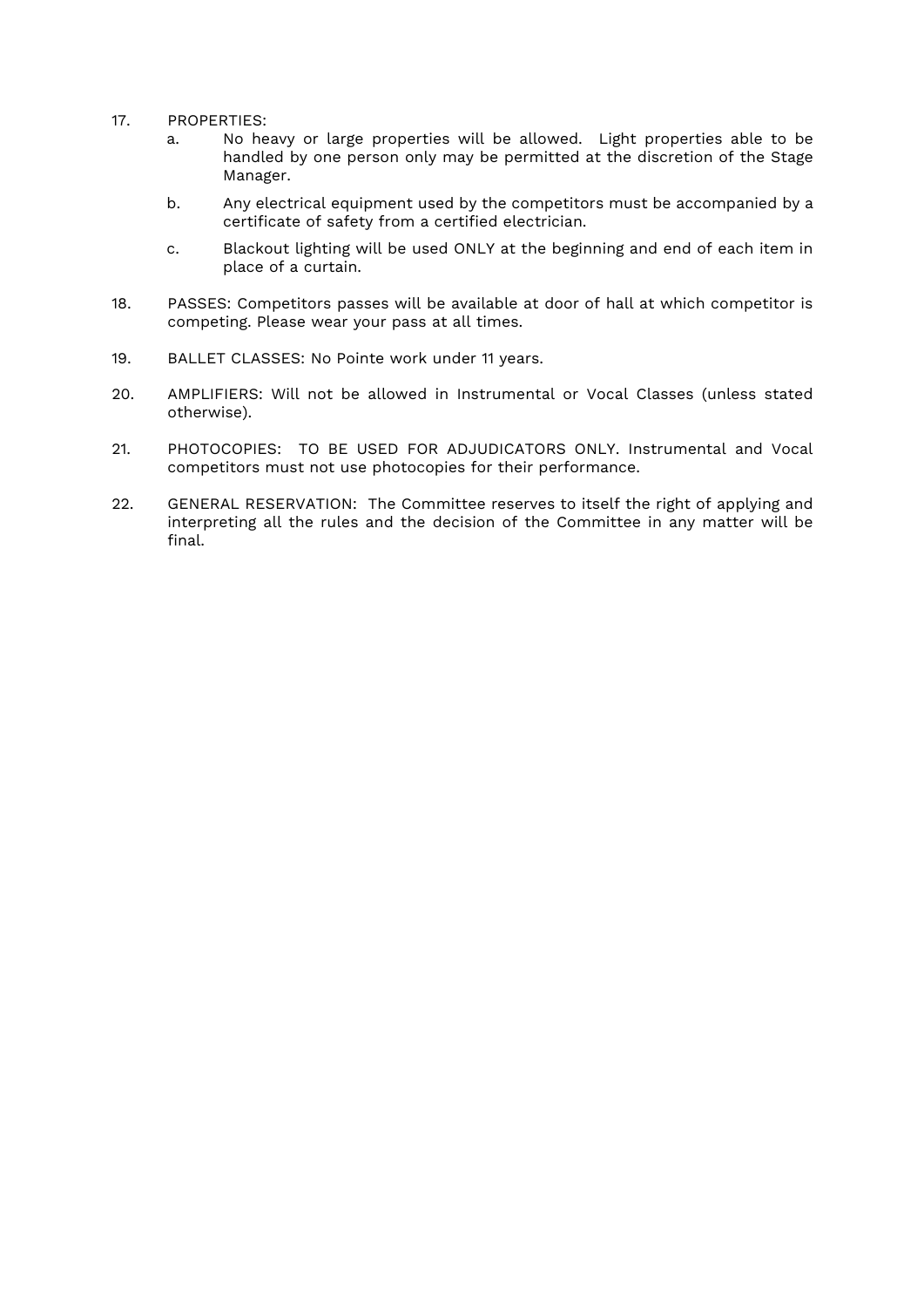- 17. PROPERTIES:
	- a. No heavy or large properties will be allowed. Light properties able to be handled by one person only may be permitted at the discretion of the Stage Manager.
	- b. Any electrical equipment used by the competitors must be accompanied by a certificate of safety from a certified electrician.
	- c. Blackout lighting will be used ONLY at the beginning and end of each item in place of a curtain.
- 18. PASSES: Competitors passes will be available at door of hall at which competitor is competing. Please wear your pass at all times.
- 19. BALLET CLASSES: No Pointe work under 11 years.
- 20. AMPLIFIERS: Will not be allowed in Instrumental or Vocal Classes (unless stated otherwise).
- 21. PHOTOCOPIES: TO BE USED FOR ADJUDICATORS ONLY. Instrumental and Vocal competitors must not use photocopies for their performance.
- 22. GENERAL RESERVATION: The Committee reserves to itself the right of applying and interpreting all the rules and the decision of the Committee in any matter will be final.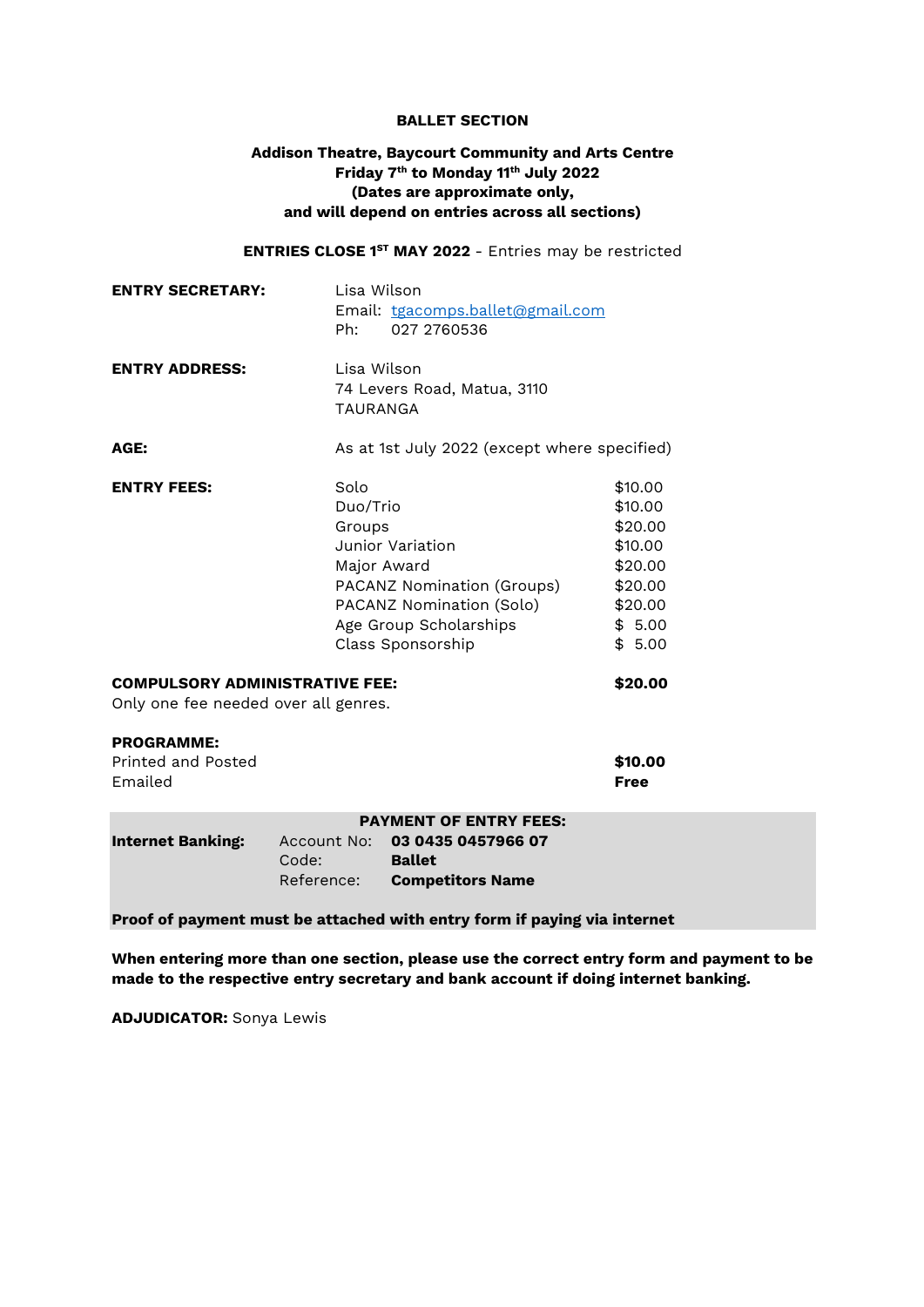#### **BALLET SECTION**

# **Addison Theatre, Baycourt Community and Arts Centre Friday 7 th to Monday 11th July 2022 (Dates are approximate only, and will depend on entries across all sections)**

**ENTRIES CLOSE 1ST MAY 2022** - Entries may be restricted

| <b>ENTRY SECRETARY:</b>                                                                  | Lisa Wilson<br>Ph:                        | Email: tgacomps.ballet@gmail.com<br>027 2760536                                                                           |                                                                                               |
|------------------------------------------------------------------------------------------|-------------------------------------------|---------------------------------------------------------------------------------------------------------------------------|-----------------------------------------------------------------------------------------------|
| <b>ENTRY ADDRESS:</b>                                                                    |                                           | Lisa Wilson<br>74 Levers Road, Matua, 3110<br><b>TAURANGA</b>                                                             |                                                                                               |
| AGE:                                                                                     |                                           | As at 1st July 2022 (except where specified)                                                                              |                                                                                               |
| <b>ENTRY FEES:</b>                                                                       | Solo<br>Duo/Trio<br>Groups<br>Major Award | Junior Variation<br>PACANZ Nomination (Groups)<br>PACANZ Nomination (Solo)<br>Age Group Scholarships<br>Class Sponsorship | \$10.00<br>\$10.00<br>\$20.00<br>\$10.00<br>\$20.00<br>\$20.00<br>\$20.00<br>\$5.00<br>\$5.00 |
| <b>COMPULSORY ADMINISTRATIVE FEE:</b><br>\$20.00<br>Only one fee needed over all genres. |                                           |                                                                                                                           |                                                                                               |
| <b>PROGRAMME:</b><br>Printed and Posted<br>Emailed                                       |                                           |                                                                                                                           | \$10.00<br><b>Free</b>                                                                        |
| <b>Internet Banking:</b>                                                                 | Code:<br>Reference:                       | <b>PAYMENT OF ENTRY FEES:</b><br>Account No: 03 0435 0457966 07<br><b>Ballet</b><br><b>Competitors Name</b>               |                                                                                               |

**Proof of payment must be attached with entry form if paying via internet**

**When entering more than one section, please use the correct entry form and payment to be made to the respective entry secretary and bank account if doing internet banking.**

**ADJUDICATOR:** Sonya Lewis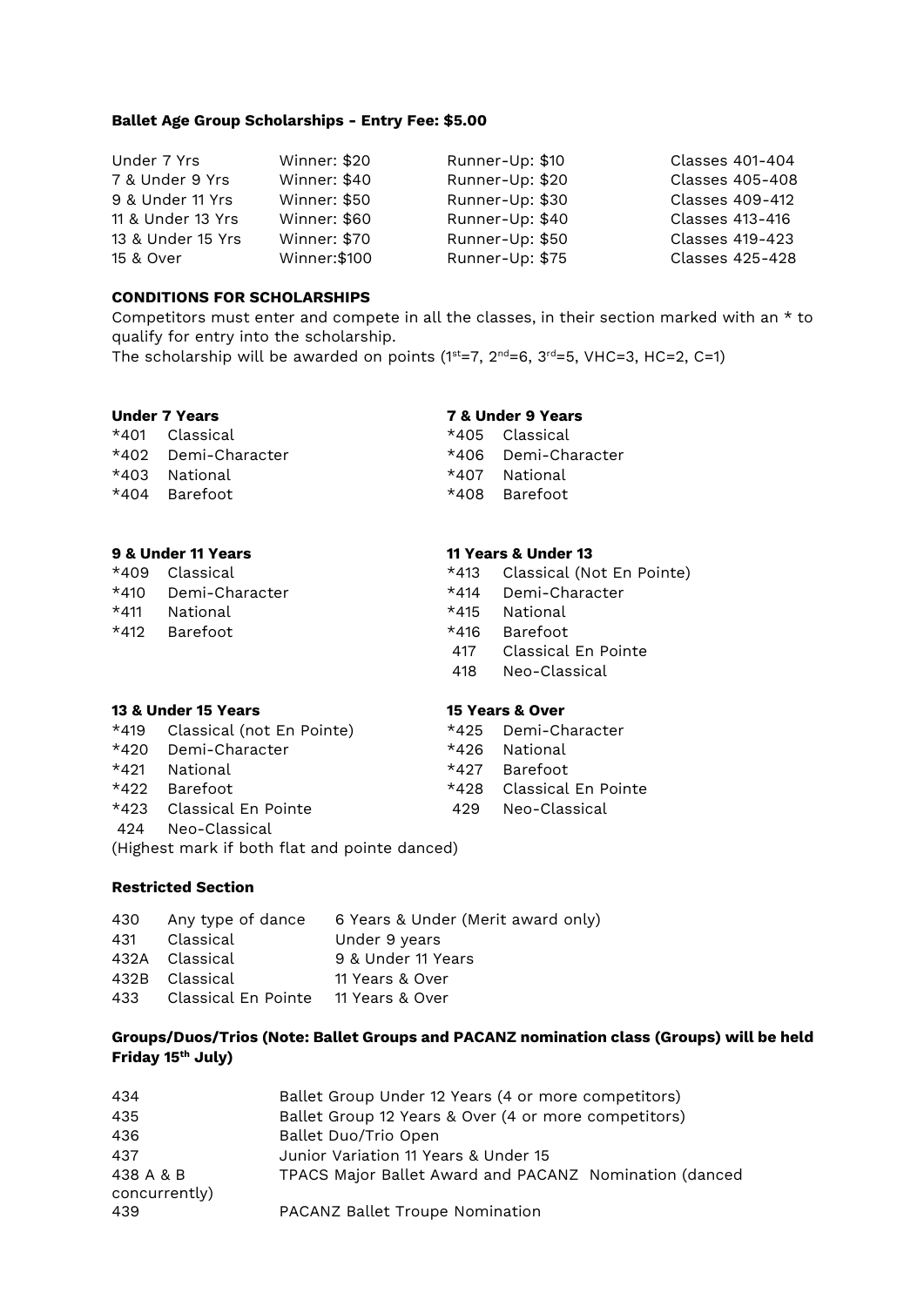### **Ballet Age Group Scholarships - Entry Fee: \$5.00**

| Under 7 Yrs       | Winner: \$20  | Runner-Up: \$10 | Classes 401-404 |
|-------------------|---------------|-----------------|-----------------|
| 7 & Under 9 Yrs   | Winner: \$40  | Runner-Up: \$20 | Classes 405-408 |
| 9 & Under 11 Yrs  | Winner: \$50  | Runner-Up: \$30 | Classes 409-412 |
| 11 & Under 13 Yrs | Winner: \$60  | Runner-Up: \$40 | Classes 413-416 |
| 13 & Under 15 Yrs | Winner: \$70  | Runner-Up: \$50 | Classes 419-423 |
| 15 & Over         | Winner: \$100 | Runner-Up: \$75 | Classes 425-428 |

#### **CONDITIONS FOR SCHOLARSHIPS**

Competitors must enter and compete in all the classes, in their section marked with an \* to qualify for entry into the scholarship.

The scholarship will be awarded on points ( $1^{st}=7$ ,  $2^{nd}=6$ ,  $3^{rd}=5$ , VHC=3, HC=2, C=1)

#### **Under 7 Years 7 & Under 9 Years**

 $*401$  Classical  $*405$  Classical \*402 Demi-Character \*406 Demi-Character \*403 National \*407 National \*404 Barefoot \*408 Barefoot

# **9 & Under 11 Years 11 Years & Under 13**

|      | J Q UIIUTI II ITAI 5 |        | II I CAIS QUINCI IJ            |
|------|----------------------|--------|--------------------------------|
|      | *409 Classical       |        | *413 Classical (Not En Pointe) |
|      | *410 Demi-Character  |        | *414 Demi-Character            |
| *411 | National             | $*415$ | National                       |
| *412 | Barefoot             |        | *416 Barefoot                  |
|      |                      | 417    | Classical En Pointe            |
|      |                      | 418    | Neo-Classical                  |

#### **13 & Under 15 Years 15 Years & Over**

|        | *419 Classical (not En Pointe) |       | *425 Demi-Character   |
|--------|--------------------------------|-------|-----------------------|
|        | *420 Demi-Character            | *426. | National              |
|        | *421 National                  |       | $*427$ Barefoot       |
|        | $*422$ Barefoot                | *428. | - Classical En Pointe |
| $*423$ | - Classical En Pointe          | 429   | Neo-Classical         |
| 424    | Neo-Classical                  |       |                       |

(Highest mark if both flat and pointe danced)

# **Restricted Section**

|                                         | 430 Any type of dance 6 Years & Under (Merit award only) |
|-----------------------------------------|----------------------------------------------------------|
| 431 Classical                           | Under 9 years                                            |
| 432A Classical                          | 9 & Under 11 Years                                       |
| 432B Classical                          | 11 Years & Over                                          |
| 433 Classical En Pointe 11 Years & Over |                                                          |
|                                         |                                                          |

# **Groups/Duos/Trios (Note: Ballet Groups and PACANZ nomination class (Groups) will be held Friday 15th July)**

| 434                        | Ballet Group Under 12 Years (4 or more competitors)    |
|----------------------------|--------------------------------------------------------|
| 435                        | Ballet Group 12 Years & Over (4 or more competitors)   |
| 436                        | Ballet Duo/Trio Open                                   |
| 437                        | Junior Variation 11 Years & Under 15                   |
| 438 A & B<br>concurrently) | TPACS Major Ballet Award and PACANZ Nomination (danced |
| 439.                       | PACANZ Ballet Troupe Nomination                        |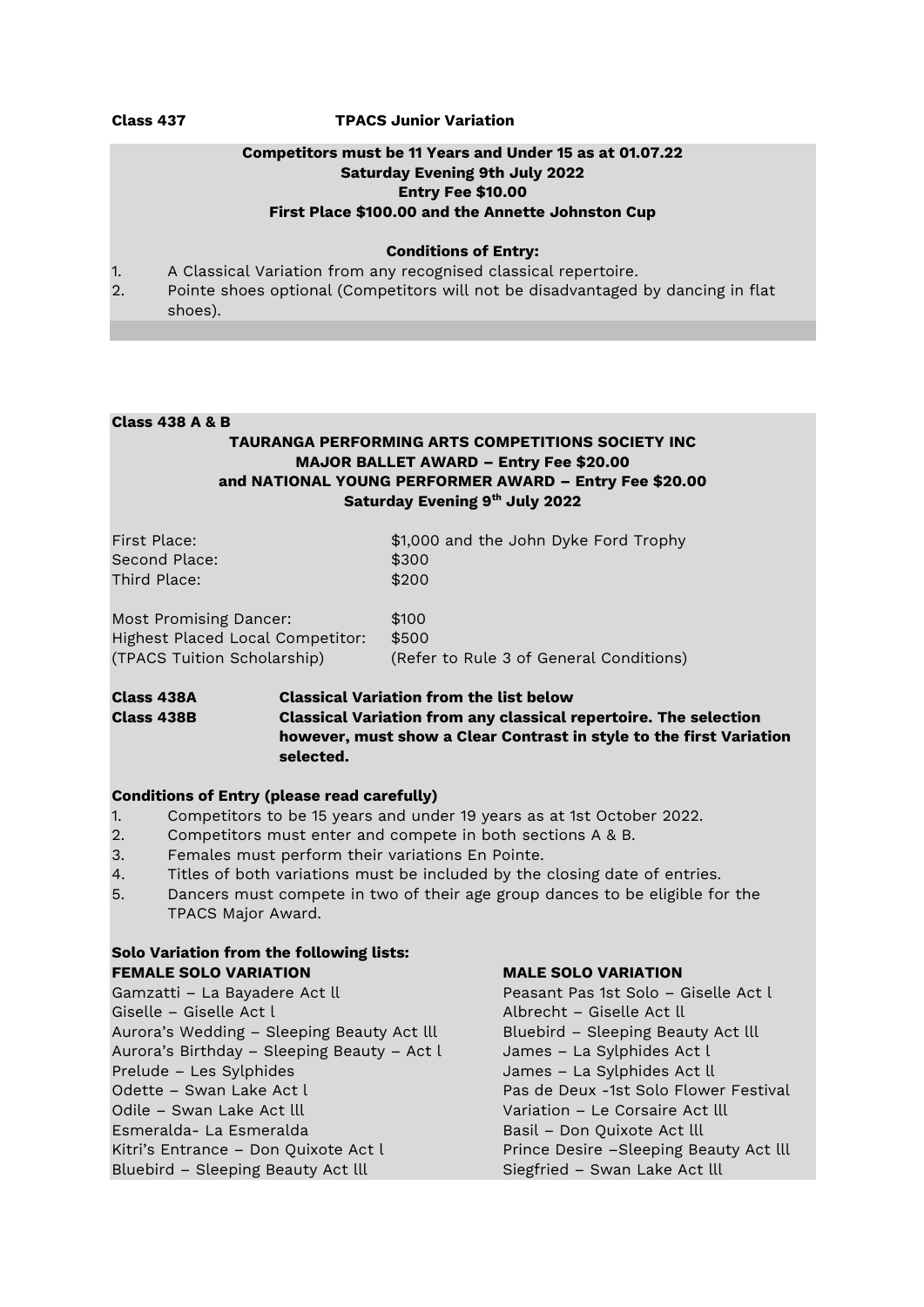#### **Class 437 TPACS Junior Variation**

# **Competitors must be 11 Years and Under 15 as at 01.07.22 Saturday Evening 9th July 2022 Entry Fee \$10.00 First Place \$100.00 and the Annette Johnston Cup**

#### **Conditions of Entry:**

- 1. A Classical Variation from any recognised classical repertoire.
- 2. Pointe shoes optional (Competitors will not be disadvantaged by dancing in flat shoes).

#### **Class 438 A & B**

# **TAURANGA PERFORMING ARTS COMPETITIONS SOCIETY INC MAJOR BALLET AWARD – Entry Fee \$20.00 and NATIONAL YOUNG PERFORMER AWARD – Entry Fee \$20.00 Saturday Evening 9th July 2022**

| First Place:  | \$1,000 and the John Dyke Ford Trophy |
|---------------|---------------------------------------|
| Second Place: | \$300                                 |
| Third Place:  | \$200                                 |
|               |                                       |

| Most Promising Dancer:           | \$100                                   |
|----------------------------------|-----------------------------------------|
| Highest Placed Local Competitor: | \$500                                   |
| (TPACS Tuition Scholarship)      | (Refer to Rule 3 of General Conditions) |

# **Class 438A Classical Variation from the list below Class 438B Classical Variation from any classical repertoire. The selection however, must show a Clear Contrast in style to the first Variation selected.**

#### **Conditions of Entry (please read carefully)**

- 1. Competitors to be 15 years and under 19 years as at 1st October 2022.
- 2. Competitors must enter and compete in both sections A & B.
- 3. Females must perform their variations En Pointe.
- 4. Titles of both variations must be included by the closing date of entries.
- 5. Dancers must compete in two of their age group dances to be eligible for the TPACS Major Award.

# **Solo Variation from the following lists: FEMALE SOLO VARIATION MALE SOLO VARIATION**

Gamzatti – La Bayadere Act ll Peasant Pas 1st Solo – Giselle Act l Giselle – Giselle Act l Albrecht – Giselle Act ll Aurora's Wedding – Sleeping Beauty Act lll Bluebird – Sleeping Beauty Act lll Aurora's Birthday – Sleeping Beauty – Act l James – La Sylphides Act l Prelude – Les Sylphides James – La Sylphides Act ll Odette – Swan Lake Act l Pas de Deux -1st Solo Flower Festival Odile – Swan Lake Act lll Variation – Le Corsaire Act lll Esmeralda- La Esmeralda Basil – Don Quixote Act lll Kitri's Entrance – Don Quixote Act l Prince Desire – Sleeping Beauty Act lll Bluebird – Sleeping Beauty Act lll Siegfried – Swan Lake Act lll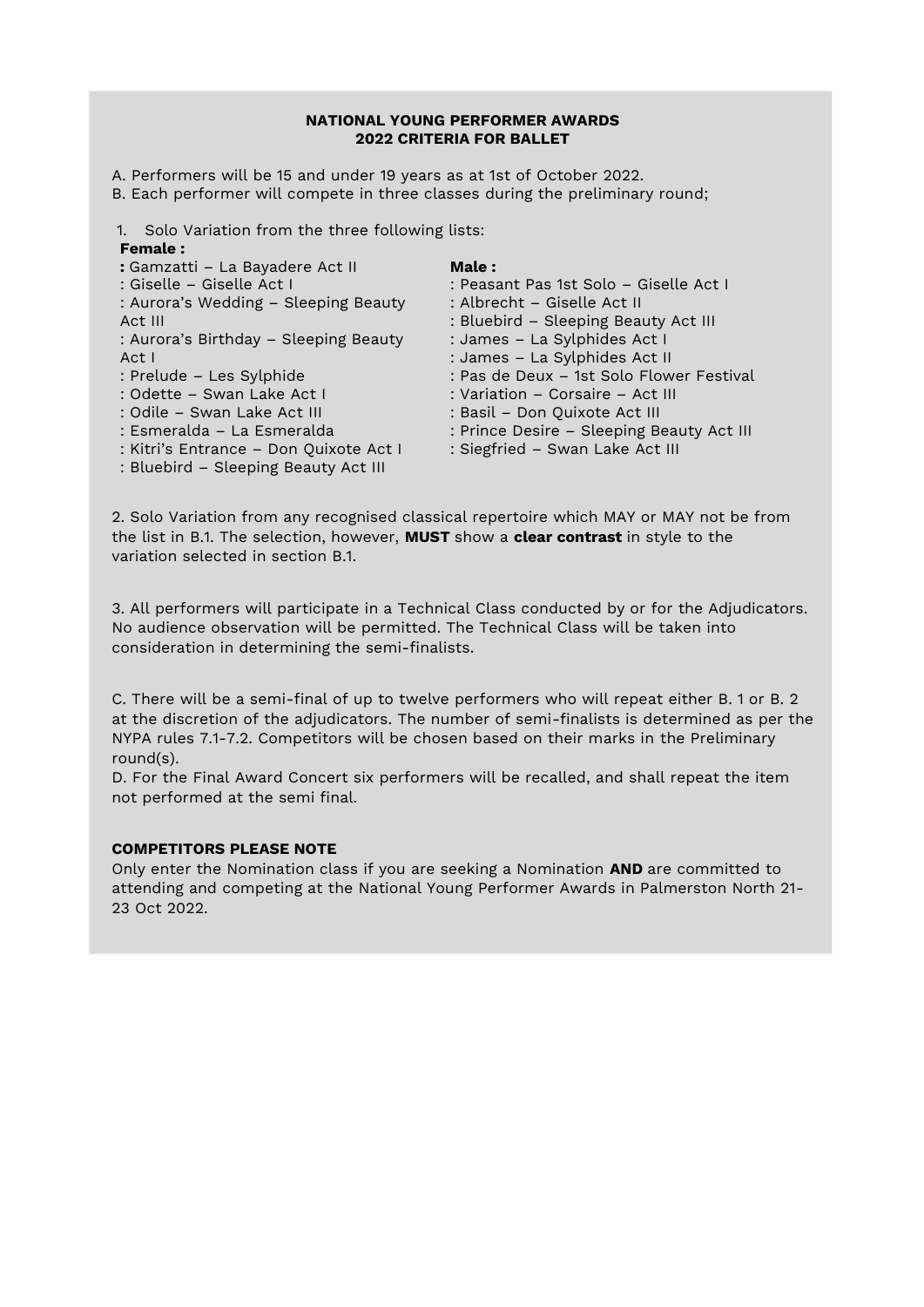### **NATIONAL YOUNG PERFORMER AWARDS 2022 CRITERIA FOR BALLET**

A. Performers will be 15 and under 19 years as at 1st of October 2022.

B. Each performer will compete in three classes during the preliminary round;

1. Solo Variation from the three following lists:

## **Female :**

| : Gamzatti - La Bayadere Act II        | <b>Male:</b>                              |
|----------------------------------------|-------------------------------------------|
| : Giselle – Giselle Act I              | : Peasant Pas 1st Solo – Giselle Act I    |
| : Aurora's Wedding - Sleeping Beauty   | : Albrecht – Giselle Act II               |
| Act III                                | : Bluebird - Sleeping Beauty Act III      |
| : Aurora's Birthday – Sleeping Beauty  | : James - La Sylphides Act I              |
| Act I                                  | : James - La Sylphides Act II             |
| : Prelude - Les Sylphide               | : Pas de Deux - 1st Solo Flower Festival  |
| : Odette - Swan Lake Act I             | : Variation – Corsaire – Act III          |
| : Odile - Swan Lake Act III            | : Basil - Don Quixote Act III             |
| : Esmeralda - La Esmeralda             | : Prince Desire - Sleeping Beauty Act III |
| : Kitri's Entrance - Don Quixote Act I | : Siegfried - Swan Lake Act III           |
| : Bluebird - Sleeping Beauty Act III   |                                           |

2. Solo Variation from any recognised classical repertoire which MAY or MAY not be from the list in B.1. The selection, however, **MUST** show a **clear contrast** in style to the variation selected in section B.1.

3. All performers will participate in a Technical Class conducted by or for the Adjudicators. No audience observation will be permitted. The Technical Class will be taken into consideration in determining the semi-finalists.

C. There will be a semi-final of up to twelve performers who will repeat either B. 1 or B. 2 at the discretion of the adjudicators. The number of semi-finalists is determined as per the NYPA rules 7.1-7.2. Competitors will be chosen based on their marks in the Preliminary round(s).

D. For the Final Award Concert six performers will be recalled, and shall repeat the item not performed at the semi final.

# **COMPETITORS PLEASE NOTE**

Only enter the Nomination class if you are seeking a Nomination **AND** are committed to attending and competing at the National Young Performer Awards in Palmerston North 21- 23 Oct 2022.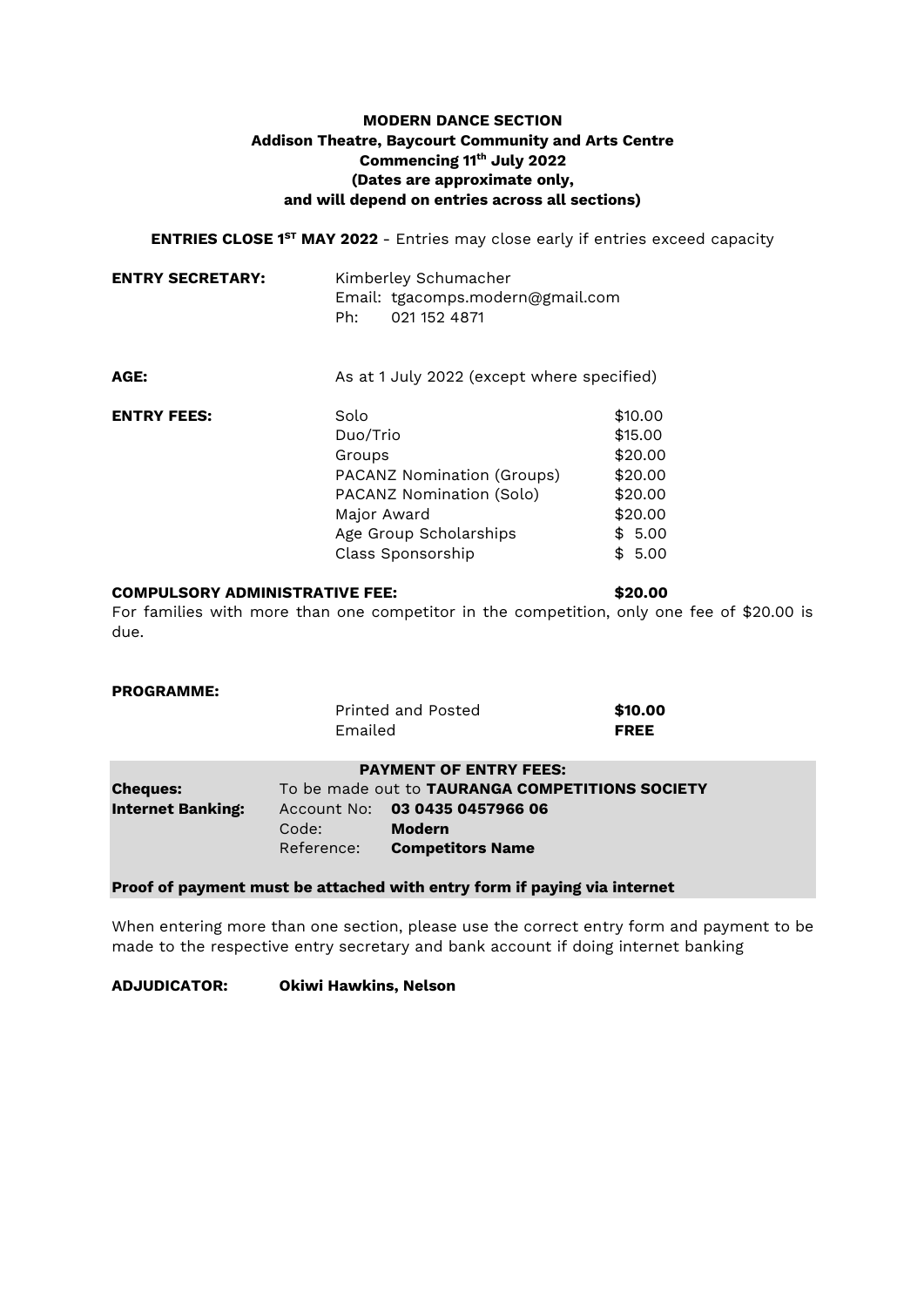# **MODERN DANCE SECTION Addison Theatre, Baycourt Community and Arts Centre Commencing 11th July 2022 (Dates are approximate only, and will depend on entries across all sections)**

**ENTRIES CLOSE 1ST MAY 2022** - Entries may close early if entries exceed capacity

| <b>ENTRY SECRETARY:</b> | Kimberley Schumacher |                                  |
|-------------------------|----------------------|----------------------------------|
|                         |                      | Email: tgacomps.modern@gmail.com |
|                         | Ph∙                  | 021 152 4871                     |

| AGE:               | As at 1 July 2022 (except where specified) |         |  |
|--------------------|--------------------------------------------|---------|--|
| <b>ENTRY FEES:</b> | Solo                                       | \$10.00 |  |
|                    | Duo/Trio                                   | \$15.00 |  |
|                    | Groups                                     | \$20.00 |  |
|                    | PACANZ Nomination (Groups)                 | \$20.00 |  |
|                    | PACANZ Nomination (Solo)                   | \$20.00 |  |
|                    | Major Award                                | \$20.00 |  |
|                    | Age Group Scholarships                     | \$5.00  |  |
|                    | Class Sponsorship                          | \$5.00  |  |

#### **COMPULSORY ADMINISTRATIVE FEE: \$20.00**

For families with more than one competitor in the competition, only one fee of \$20.00 is due.

# **PROGRAMME:**

|                          | Emailed    | Printed and Posted                              | \$10.00<br><b>FREE</b> |
|--------------------------|------------|-------------------------------------------------|------------------------|
|                          |            | <b>PAYMENT OF ENTRY FEES:</b>                   |                        |
| <b>Cheques:</b>          |            | To be made out to TAURANGA COMPETITIONS SOCIETY |                        |
| <b>Internet Banking:</b> |            | Account No: 03 0435 0457966 06                  |                        |
|                          | Code:      | Modern                                          |                        |
|                          | Reference: | <b>Competitors Name</b>                         |                        |

### **Proof of payment must be attached with entry form if paying via internet**

When entering more than one section, please use the correct entry form and payment to be made to the respective entry secretary and bank account if doing internet banking

#### **ADJUDICATOR: Okiwi Hawkins, Nelson**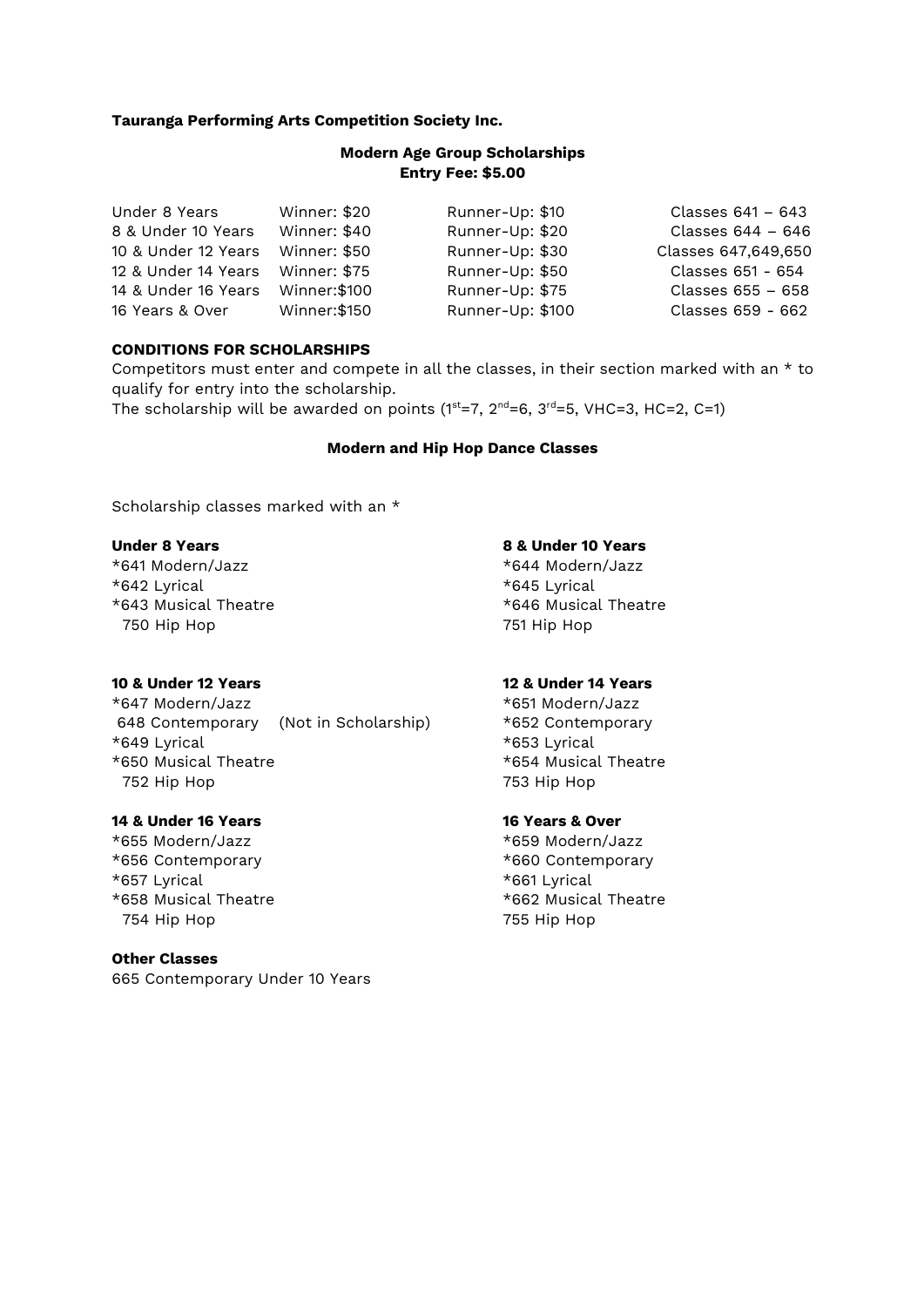### **Tauranga Performing Arts Competition Society Inc.**

# **Modern Age Group Scholarships Entry Fee: \$5.00**

| Under 8 Years                    | Winner: \$20  | Runner-Up: \$10  | Classes 641 – 643   |
|----------------------------------|---------------|------------------|---------------------|
| 8 & Under 10 Years               | Winner: \$40  | Runner-Up: \$20  | Classes 644 - 646   |
| 10 & Under 12 Years              | Winner: \$50  | Runner-Up: \$30  | Classes 647,649,650 |
| 12 & Under 14 Years Winner: \$75 |               | Runner-Up: \$50  | Classes 651 - 654   |
| 14 & Under 16 Years              | Winner: \$100 | Runner-Up: \$75  | Classes 655 - 658   |
| 16 Years & Over                  | Winner: \$150 | Runner-Up: \$100 | Classes 659 - 662   |

### **CONDITIONS FOR SCHOLARSHIPS**

Competitors must enter and compete in all the classes, in their section marked with an \* to qualify for entry into the scholarship.

The scholarship will be awarded on points ( $1^{st}=7$ ,  $2^{nd}=6$ ,  $3^{rd}=5$ , VHC=3, HC=2, C=1)

#### **Modern and Hip Hop Dance Classes**

Scholarship classes marked with an  $*$ 

\*641 Modern/Jazz \*644 Modern/Jazz \*642 Lyrical \*645 Lyrical \*643 Musical Theatre \*646 Musical Theatre 750 Hip Hop 751 Hip Hop

#### **10 & Under 12 Years 12 & Under 14 Years**

\*647 Modern/Jazz \*651 Modern/Jazz 648 Contemporary (Not in Scholarship) \*652 Contemporary \*649 Lyrical \*653 Lyrical \*650 Musical Theatre \*654 Musical Theatre 752 Hip Hop 753 Hip Hop

### **14 & Under 16 Years 16 Years & Over**

\*655 Modern/Jazz \*659 Modern/Jazz \*656 Contemporary \*660 Contemporary \*657 Lyrical \*661 Lyrical \*658 Musical Theatre \*662 Musical Theatre 754 Hip Hop 755 Hip Hop

#### **Other Classes**

665 Contemporary Under 10 Years

# **Under 8 Years 8 & Under 10 Years**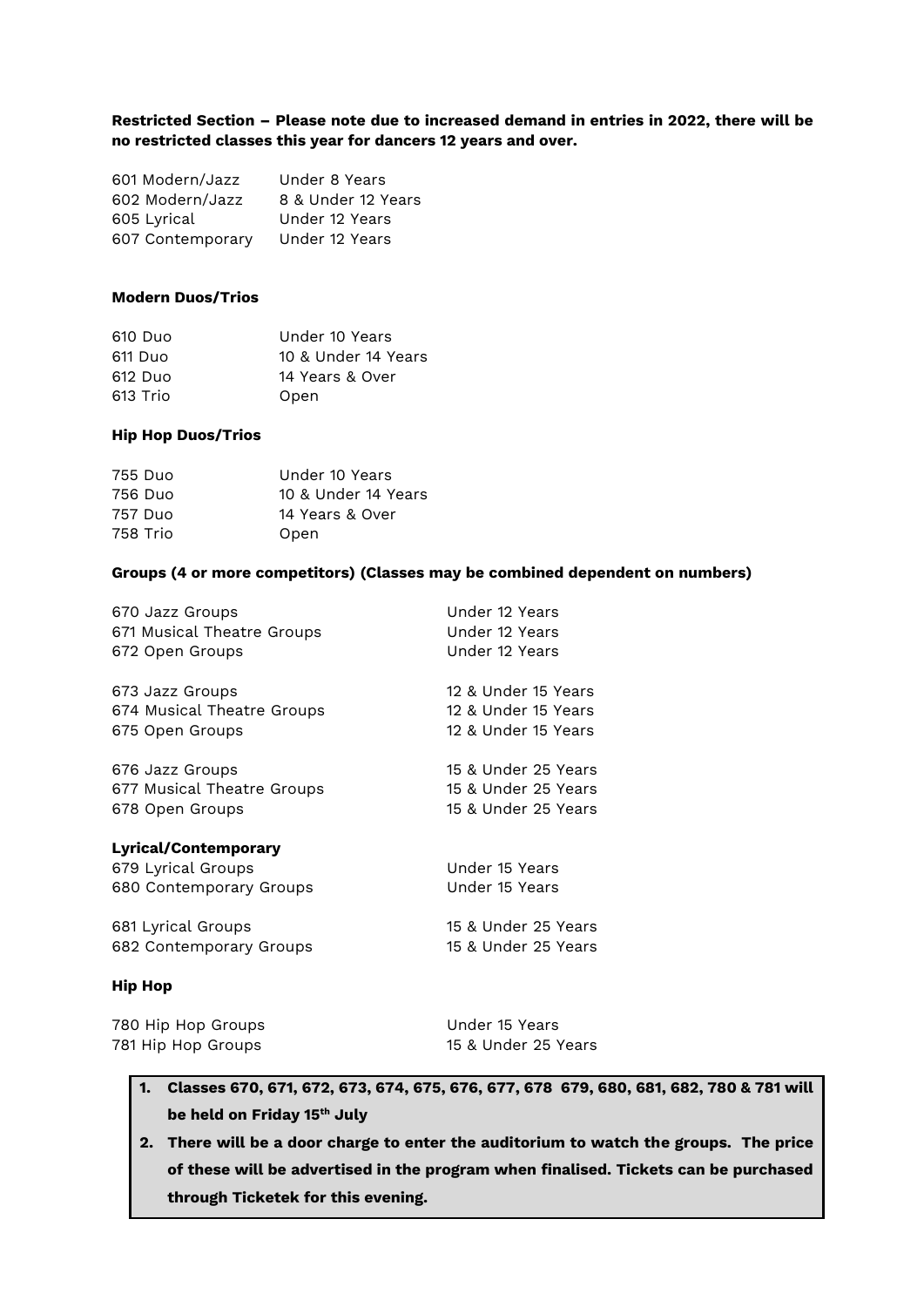### **Restricted Section – Please note due to increased demand in entries in 2022, there will be no restricted classes this year for dancers 12 years and over.**

| 601 Modern/Jazz  | Under 8 Years      |
|------------------|--------------------|
| 602 Modern/Jazz  | 8 & Under 12 Years |
| 605 Lyrical      | Under 12 Years     |
| 607 Contemporary | Under 12 Years     |

### **Modern Duos/Trios**

| 610 Duo  | Under 10 Years      |
|----------|---------------------|
| 611 Duo  | 10 & Under 14 Years |
| 612 Duo  | 14 Years & Over     |
| 613 Trio | Open                |

### **Hip Hop Duos/Trios**

| 755 Duo  | Under 10 Years      |
|----------|---------------------|
| 756 Duo  | 10 & Under 14 Years |
| 757 Duo  | 14 Years & Over     |
| 758 Trio | Open                |

### **Groups (4 or more competitors) (Classes may be combined dependent on numbers)**

| 670 Jazz Groups                                                       | Under 12 Years                   |
|-----------------------------------------------------------------------|----------------------------------|
| 671 Musical Theatre Groups                                            | Under 12 Years                   |
| 672 Open Groups                                                       | Under 12 Years                   |
| 673 Jazz Groups                                                       | 12 & Under 15 Years              |
| 674 Musical Theatre Groups                                            | 12 & Under 15 Years              |
| 675 Open Groups                                                       | 12 & Under 15 Years              |
| 676 Jazz Groups                                                       | 15 & Under 25 Years              |
| 677 Musical Theatre Groups                                            | 15 & Under 25 Years              |
| 678 Open Groups                                                       | 15 & Under 25 Years              |
| Lyrical/Contemporary<br>679 Lyrical Groups<br>680 Contemporary Groups | Under 15 Years<br>Under 15 Years |
| 681 Lyrical Groups                                                    | 15 & Under 25 Years              |
| 682 Contemporary Groups                                               | 15 & Under 25 Years              |
|                                                                       |                                  |

# **Hip Hop**

| 780 Hip Hop Groups | Under 15 Years      |
|--------------------|---------------------|
| 781 Hip Hop Groups | 15 & Under 25 Years |

# **1. Classes 670, 671, 672, 673, 674, 675, 676, 677, 678 679, 680, 681, 682, 780 & 781 will be held on Friday 15th July**

**2. There will be a door charge to enter the auditorium to watch the groups. The price of these will be advertised in the program when finalised. Tickets can be purchased through Ticketek for this evening.**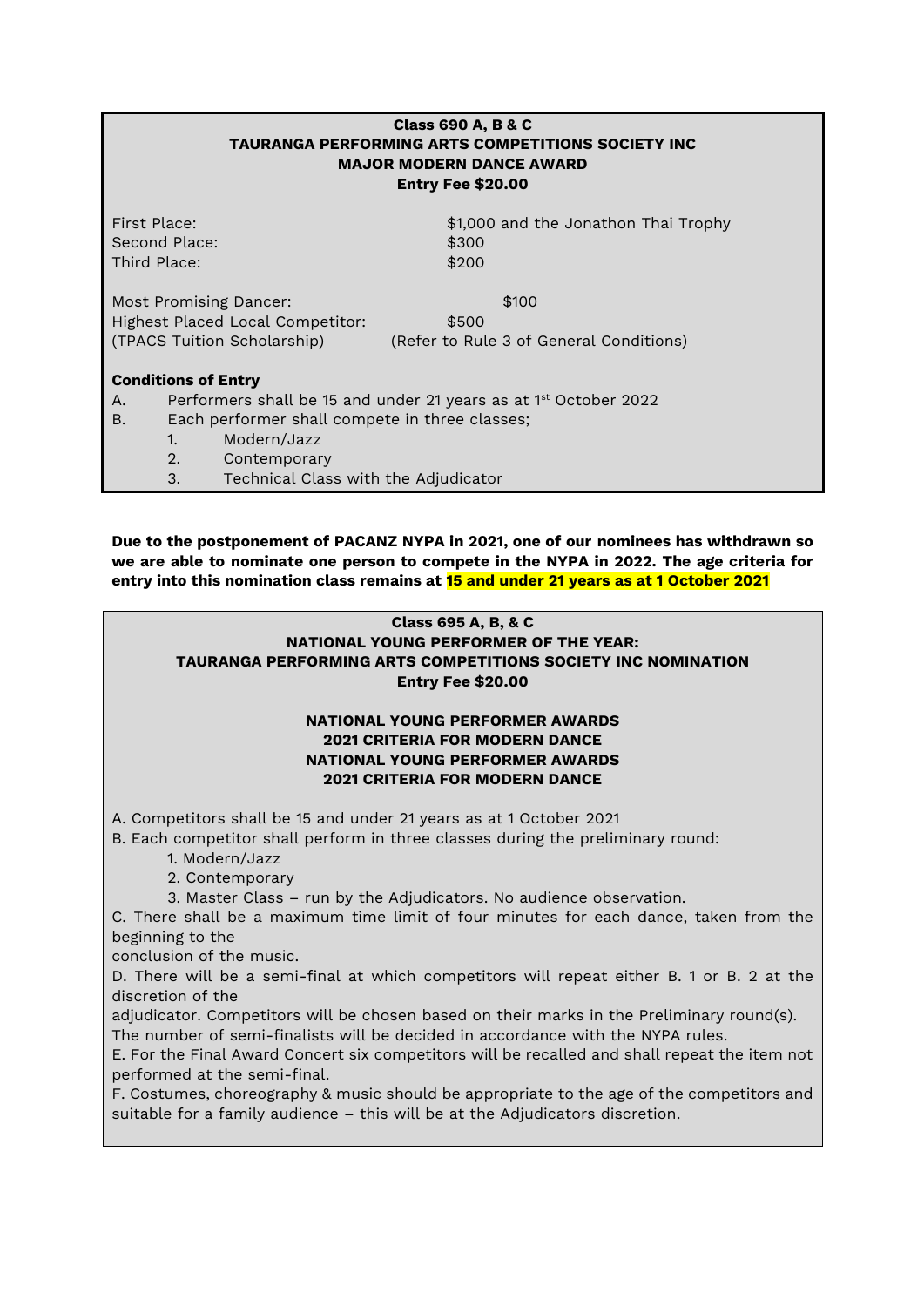|                                                      |                                            | <b>Class 690 A, B &amp; C</b><br><b>TAURANGA PERFORMING ARTS COMPETITIONS SOCIETY INC</b><br><b>MAJOR MODERN DANCE AWARD</b><br>Entry Fee \$20.00 |  |
|------------------------------------------------------|--------------------------------------------|---------------------------------------------------------------------------------------------------------------------------------------------------|--|
| First Place:                                         | Second Place:                              | \$1,000 and the Jonathon Thai Trophy                                                                                                              |  |
| Third Place:                                         |                                            | \$300<br>\$200                                                                                                                                    |  |
|                                                      |                                            |                                                                                                                                                   |  |
|                                                      | Most Promising Dancer:                     | \$100                                                                                                                                             |  |
|                                                      | Highest Placed Local Competitor:           | \$500                                                                                                                                             |  |
|                                                      | (TPACS Tuition Scholarship)                | (Refer to Rule 3 of General Conditions)                                                                                                           |  |
|                                                      | <b>Conditions of Entry</b>                 |                                                                                                                                                   |  |
| А.                                                   |                                            | Performers shall be 15 and under 21 years as at 1 <sup>st</sup> October 2022                                                                      |  |
| Each performer shall compete in three classes;<br>В. |                                            |                                                                                                                                                   |  |
|                                                      | Modern/Jazz<br>$1_{\cdot}$                 |                                                                                                                                                   |  |
|                                                      | 2.<br>Contemporary                         |                                                                                                                                                   |  |
|                                                      | Technical Class with the Adjudicator<br>3. |                                                                                                                                                   |  |

**Due to the postponement of PACANZ NYPA in 2021, one of our nominees has withdrawn so we are able to nominate one person to compete in the NYPA in 2022. The age criteria for entry into this nomination class remains at 15 and under 21 years as at 1 October 2021**

# **Class 695 A, B, & C**

# **NATIONAL YOUNG PERFORMER OF THE YEAR: TAURANGA PERFORMING ARTS COMPETITIONS SOCIETY INC NOMINATION Entry Fee \$20.00**

# **NATIONAL YOUNG PERFORMER AWARDS 2021 CRITERIA FOR MODERN DANCE NATIONAL YOUNG PERFORMER AWARDS 2021 CRITERIA FOR MODERN DANCE**

A. Competitors shall be 15 and under 21 years as at 1 October 2021

B. Each competitor shall perform in three classes during the preliminary round:

1. Modern/Jazz

2. Contemporary

3. Master Class – run by the Adjudicators. No audience observation.

C. There shall be a maximum time limit of four minutes for each dance, taken from the beginning to the

conclusion of the music.

D. There will be a semi-final at which competitors will repeat either B. 1 or B. 2 at the discretion of the

adjudicator. Competitors will be chosen based on their marks in the Preliminary round(s). The number of semi-finalists will be decided in accordance with the NYPA rules.

E. For the Final Award Concert six competitors will be recalled and shall repeat the item not performed at the semi-final.

F. Costumes, choreography & music should be appropriate to the age of the competitors and suitable for a family audience – this will be at the Adjudicators discretion.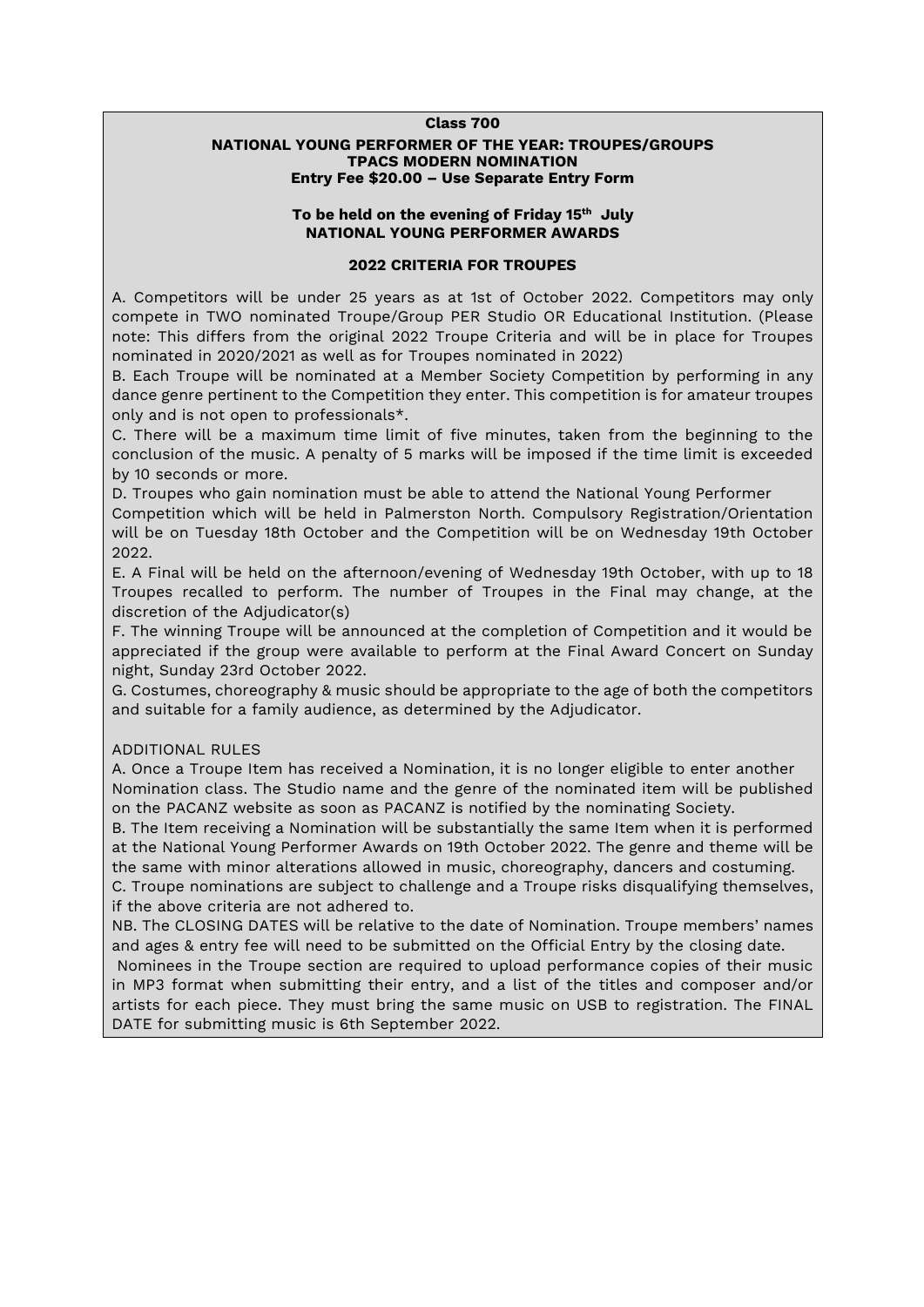#### **Class 700**

### **NATIONAL YOUNG PERFORMER OF THE YEAR: TROUPES/GROUPS TPACS MODERN NOMINATION Entry Fee \$20.00 – Use Separate Entry Form**

# **To be held on the evening of Friday 15th July NATIONAL YOUNG PERFORMER AWARDS**

#### **2022 CRITERIA FOR TROUPES**

A. Competitors will be under 25 years as at 1st of October 2022. Competitors may only compete in TWO nominated Troupe/Group PER Studio OR Educational Institution. (Please note: This differs from the original 2022 Troupe Criteria and will be in place for Troupes nominated in 2020/2021 as well as for Troupes nominated in 2022)

B. Each Troupe will be nominated at a Member Society Competition by performing in any dance genre pertinent to the Competition they enter. This competition is for amateur troupes only and is not open to professionals\*.

C. There will be a maximum time limit of five minutes, taken from the beginning to the conclusion of the music. A penalty of 5 marks will be imposed if the time limit is exceeded by 10 seconds or more.

D. Troupes who gain nomination must be able to attend the National Young Performer

Competition which will be held in Palmerston North. Compulsory Registration/Orientation will be on Tuesday 18th October and the Competition will be on Wednesday 19th October 2022.

E. A Final will be held on the afternoon/evening of Wednesday 19th October, with up to 18 Troupes recalled to perform. The number of Troupes in the Final may change, at the discretion of the Adjudicator(s)

F. The winning Troupe will be announced at the completion of Competition and it would be appreciated if the group were available to perform at the Final Award Concert on Sunday night, Sunday 23rd October 2022.

G. Costumes, choreography & music should be appropriate to the age of both the competitors and suitable for a family audience, as determined by the Adjudicator.

### ADDITIONAL RULES

A. Once a Troupe Item has received a Nomination, it is no longer eligible to enter another Nomination class. The Studio name and the genre of the nominated item will be published on the PACANZ website as soon as PACANZ is notified by the nominating Society.

B. The Item receiving a Nomination will be substantially the same Item when it is performed at the National Young Performer Awards on 19th October 2022. The genre and theme will be the same with minor alterations allowed in music, choreography, dancers and costuming. C. Troupe nominations are subject to challenge and a Troupe risks disqualifying themselves, if the above criteria are not adhered to.

NB. The CLOSING DATES will be relative to the date of Nomination. Troupe members' names and ages & entry fee will need to be submitted on the Official Entry by the closing date.

Nominees in the Troupe section are required to upload performance copies of their music in MP3 format when submitting their entry, and a list of the titles and composer and/or artists for each piece. They must bring the same music on USB to registration. The FINAL DATE for submitting music is 6th September 2022.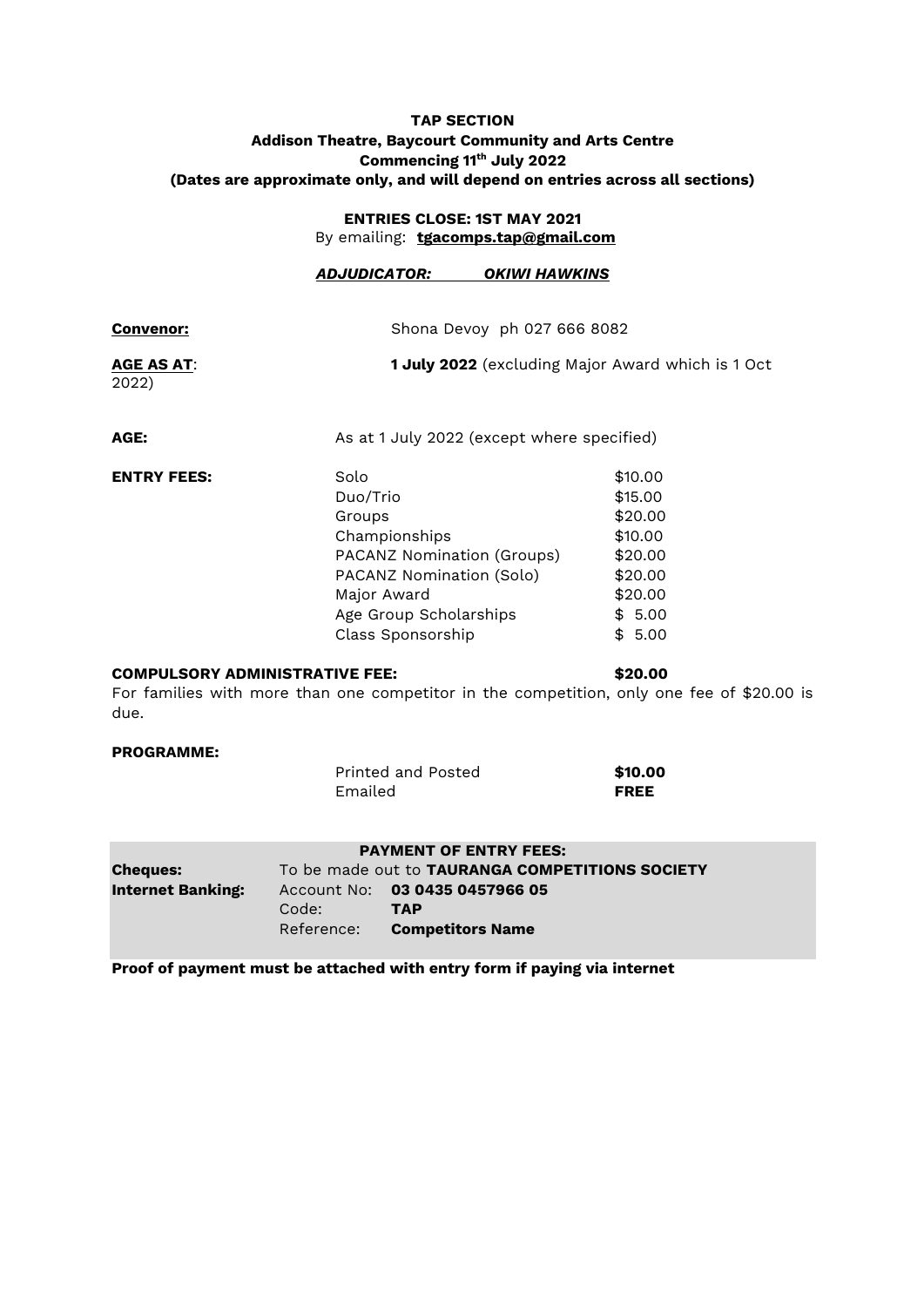# **TAP SECTION Addison Theatre, Baycourt Community and Arts Centre Commencing 11th July 2022 (Dates are approximate only, and will depend on entries across all sections)**

# **ENTRIES CLOSE: 1ST MAY 2021** By emailing: **[tgacomps.tap@gmail.com](mailto:tgacomps.tap@gmail.com)**

|                            | ADJUDICATOR:                                                                                                                                                        | OKIWI HAWKINS               |                                                                                                   |  |
|----------------------------|---------------------------------------------------------------------------------------------------------------------------------------------------------------------|-----------------------------|---------------------------------------------------------------------------------------------------|--|
| <b>Convenor:</b>           |                                                                                                                                                                     | Shona Devoy ph 027 666 8082 |                                                                                                   |  |
| <b>AGE AS AT:</b><br>2022) | <b>1 July 2022</b> (excluding Major Award which is 1 Oct                                                                                                            |                             |                                                                                                   |  |
| AGE:                       | As at 1 July 2022 (except where specified)                                                                                                                          |                             |                                                                                                   |  |
| <b>ENTRY FEES:</b>         | Solo<br>Duo/Trio<br>Groups<br>Championships<br>PACANZ Nomination (Groups)<br>PACANZ Nomination (Solo)<br>Major Award<br>Age Group Scholarships<br>Class Sponsorship |                             | \$10.00<br>\$15.00<br>\$20.00<br>\$10.00<br>\$20.00<br>\$20.00<br>\$20.00<br>\$5.00<br>5.00<br>\$ |  |

# **COMPULSORY ADMINISTRATIVE FEE: \$20.00**

For families with more than one competitor in the competition, only one fee of \$20.00 is due.

#### **PROGRAMME:**

| Printed and Posted | \$10.00     |
|--------------------|-------------|
| Emailed            | <b>FREE</b> |

|                          |            | <b>PAYMENT OF ENTRY FEES:</b>                   |
|--------------------------|------------|-------------------------------------------------|
| <b>Cheques:</b>          |            | To be made out to TAURANGA COMPETITIONS SOCIETY |
| <b>Internet Banking:</b> | Code:      | Account No: 03 0435 0457966 05<br>TAP           |
|                          | Reference: | <b>Competitors Name</b>                         |

**Proof of payment must be attached with entry form if paying via internet**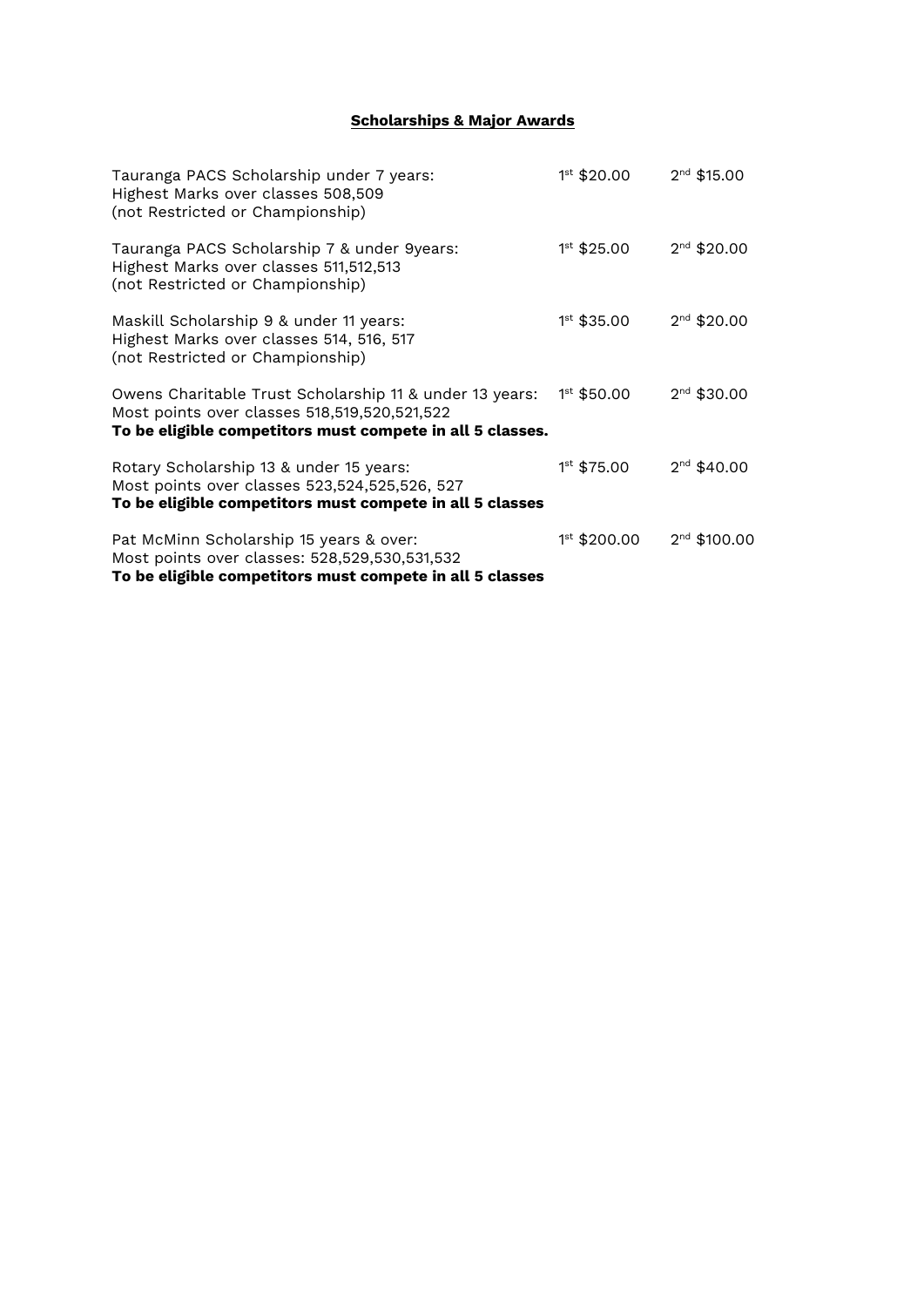# **Scholarships & Major Awards**

| Tauranga PACS Scholarship under 7 years:<br>Highest Marks over classes 508,509<br>(not Restricted or Championship)                                                   | $1^{st}$ \$20.00 | $2nd$ \$15.00            |
|----------------------------------------------------------------------------------------------------------------------------------------------------------------------|------------------|--------------------------|
| Tauranga PACS Scholarship 7 & under 9years:<br>Highest Marks over classes 511,512,513<br>(not Restricted or Championship)                                            | $1st$ \$25.00    | $2nd$ \$20.00            |
| Maskill Scholarship 9 & under 11 years:<br>Highest Marks over classes 514, 516, 517<br>(not Restricted or Championship)                                              | $1st$ \$35.00    | $2nd$ \$20.00            |
| Owens Charitable Trust Scholarship 11 & under 13 years:<br>Most points over classes 518,519,520,521,522<br>To be eligible competitors must compete in all 5 classes. | $1^{st}$ \$50.00 | $2nd$ \$30.00            |
| Rotary Scholarship 13 & under 15 years:<br>Most points over classes 523,524,525,526, 527<br>To be eligible competitors must compete in all 5 classes                 | $1st$ \$75.00    | $2nd$ \$40.00            |
| Pat McMinn Scholarship 15 years & over:<br>Most points over classes: 528,529,530,531,532<br>To be eligible competitors must compete in all 5 classes                 | 1st \$200.00     | 2 <sup>nd</sup> \$100.00 |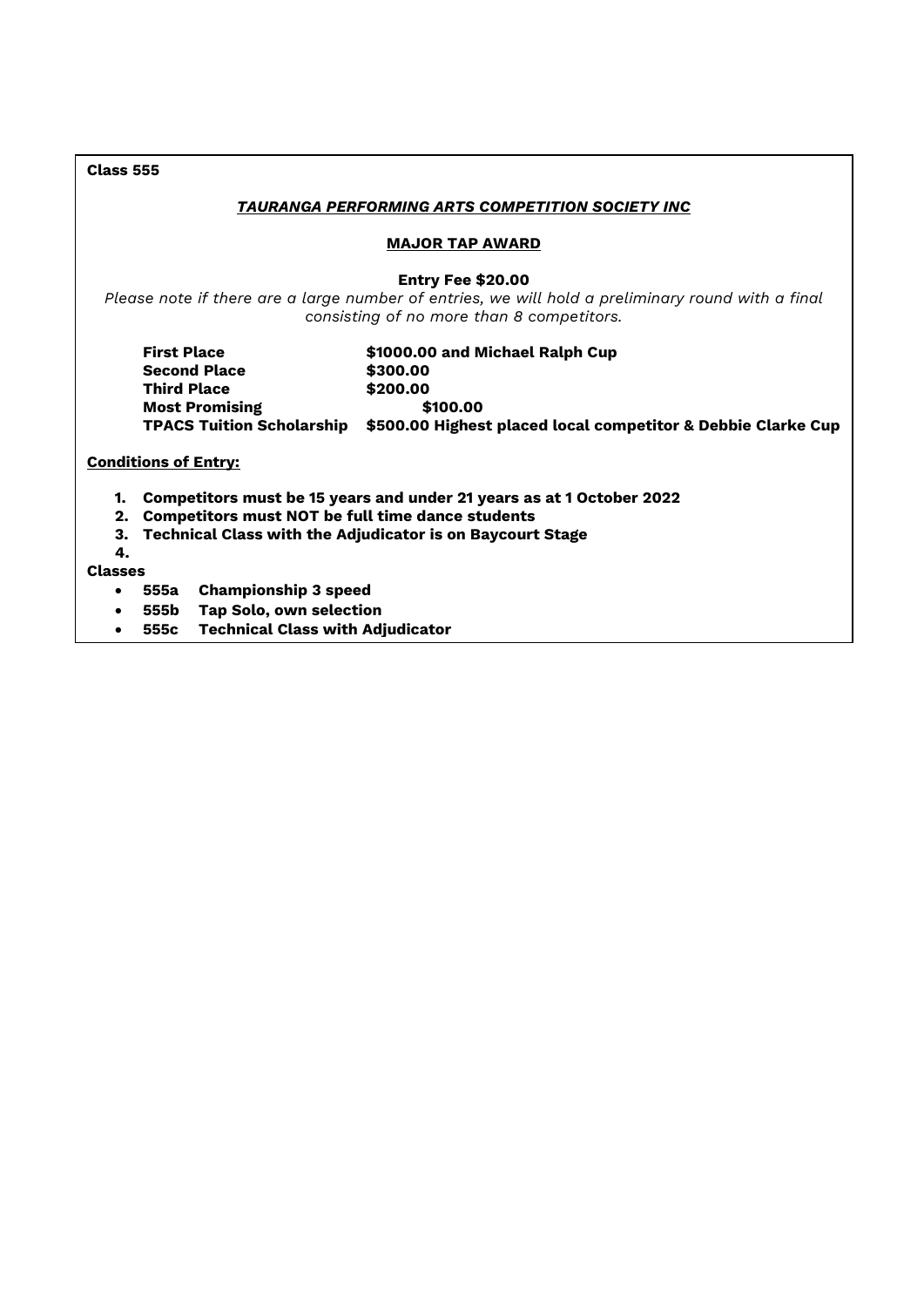| <b>Class 555</b>                                                                                                             |                                                                                                                                                                            |  |  |  |
|------------------------------------------------------------------------------------------------------------------------------|----------------------------------------------------------------------------------------------------------------------------------------------------------------------------|--|--|--|
| <b>TAURANGA PERFORMING ARTS COMPETITION SOCIETY INC</b>                                                                      |                                                                                                                                                                            |  |  |  |
| <b>MAJOR TAP AWARD</b>                                                                                                       |                                                                                                                                                                            |  |  |  |
|                                                                                                                              | <b>Entry Fee \$20.00</b><br>Please note if there are a large number of entries, we will hold a preliminary round with a final<br>consisting of no more than 8 competitors. |  |  |  |
| <b>First Place</b><br><b>Second Place</b><br><b>Third Place</b><br><b>Most Promising</b><br><b>TPACS Tuition Scholarship</b> | \$1000.00 and Michael Ralph Cup<br>\$300.00<br>\$200.00<br>\$100.00<br>\$500.00 Highest placed local competitor & Debbie Clarke Cup                                        |  |  |  |
| <b>Conditions of Entry:</b>                                                                                                  |                                                                                                                                                                            |  |  |  |
| 1.<br><b>Competitors must NOT be full time dance students</b><br>2.<br>З.<br>4.                                              | Competitors must be 15 years and under 21 years as at 1 October 2022<br><b>Technical Class with the Adjudicator is on Baycourt Stage</b>                                   |  |  |  |
| <b>Classes</b><br><b>Championship 3 speed</b><br>555a<br>$\bullet$                                                           |                                                                                                                                                                            |  |  |  |
| 555b<br>$\bullet$                                                                                                            | <b>Tap Solo, own selection</b>                                                                                                                                             |  |  |  |
| 555c Technical Class with Adjudicator                                                                                        |                                                                                                                                                                            |  |  |  |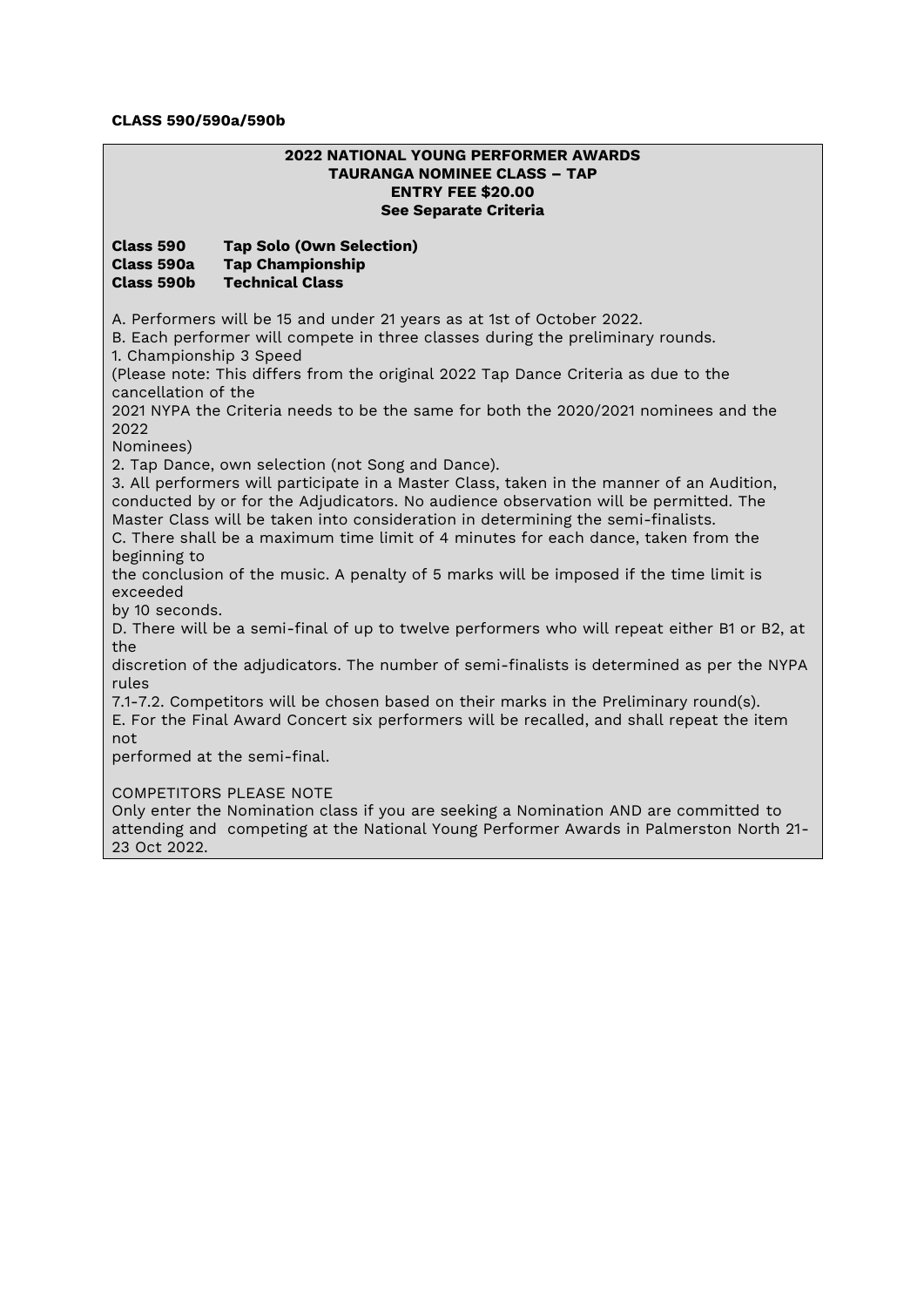### **CLASS 590/590a/590b**

| <b>2022 NATIONAL YOUNG PERFORMER AWARDS</b><br><b>TAURANGA NOMINEE CLASS - TAP</b><br><b>ENTRY FEE \$20.00</b><br>See Separate Criteria                                                                                                                                                                                                                                     |                                                                                                                                                                                    |  |
|-----------------------------------------------------------------------------------------------------------------------------------------------------------------------------------------------------------------------------------------------------------------------------------------------------------------------------------------------------------------------------|------------------------------------------------------------------------------------------------------------------------------------------------------------------------------------|--|
| Class 590<br>Class 590a<br>Class 590b                                                                                                                                                                                                                                                                                                                                       | <b>Tap Solo (Own Selection)</b><br><b>Tap Championship</b><br><b>Technical Class</b>                                                                                               |  |
| A. Performers will be 15 and under 21 years as at 1st of October 2022.<br>B. Each performer will compete in three classes during the preliminary rounds.<br>1. Championship 3 Speed                                                                                                                                                                                         |                                                                                                                                                                                    |  |
|                                                                                                                                                                                                                                                                                                                                                                             | (Please note: This differs from the original 2022 Tap Dance Criteria as due to the                                                                                                 |  |
| cancellation of the<br>2021 NYPA the Criteria needs to be the same for both the 2020/2021 nominees and the<br>2022                                                                                                                                                                                                                                                          |                                                                                                                                                                                    |  |
| Nominees)                                                                                                                                                                                                                                                                                                                                                                   | 2. Tap Dance, own selection (not Song and Dance).                                                                                                                                  |  |
| 3. All performers will participate in a Master Class, taken in the manner of an Audition,<br>conducted by or for the Adjudicators. No audience observation will be permitted. The<br>Master Class will be taken into consideration in determining the semi-finalists.<br>C. There shall be a maximum time limit of 4 minutes for each dance, taken from the<br>beginning to |                                                                                                                                                                                    |  |
| exceeded                                                                                                                                                                                                                                                                                                                                                                    | the conclusion of the music. A penalty of 5 marks will be imposed if the time limit is                                                                                             |  |
| by 10 seconds.<br>the                                                                                                                                                                                                                                                                                                                                                       | D. There will be a semi-final of up to twelve performers who will repeat either B1 or B2, at                                                                                       |  |
| discretion of the adjudicators. The number of semi-finalists is determined as per the NYPA<br>rules                                                                                                                                                                                                                                                                         |                                                                                                                                                                                    |  |
| not                                                                                                                                                                                                                                                                                                                                                                         | 7.1-7.2. Competitors will be chosen based on their marks in the Preliminary round(s).<br>E. For the Final Award Concert six performers will be recalled, and shall repeat the item |  |
|                                                                                                                                                                                                                                                                                                                                                                             | performed at the semi-final.                                                                                                                                                       |  |
| <b>COMPETITORS PLEASE NOTE</b><br>Only enter the Nomination class if you are seeking a Nomination AND are committed to<br>attending and competing at the National Young Performer Awards in Palmerston North 21-<br>23 Oct 2022.                                                                                                                                            |                                                                                                                                                                                    |  |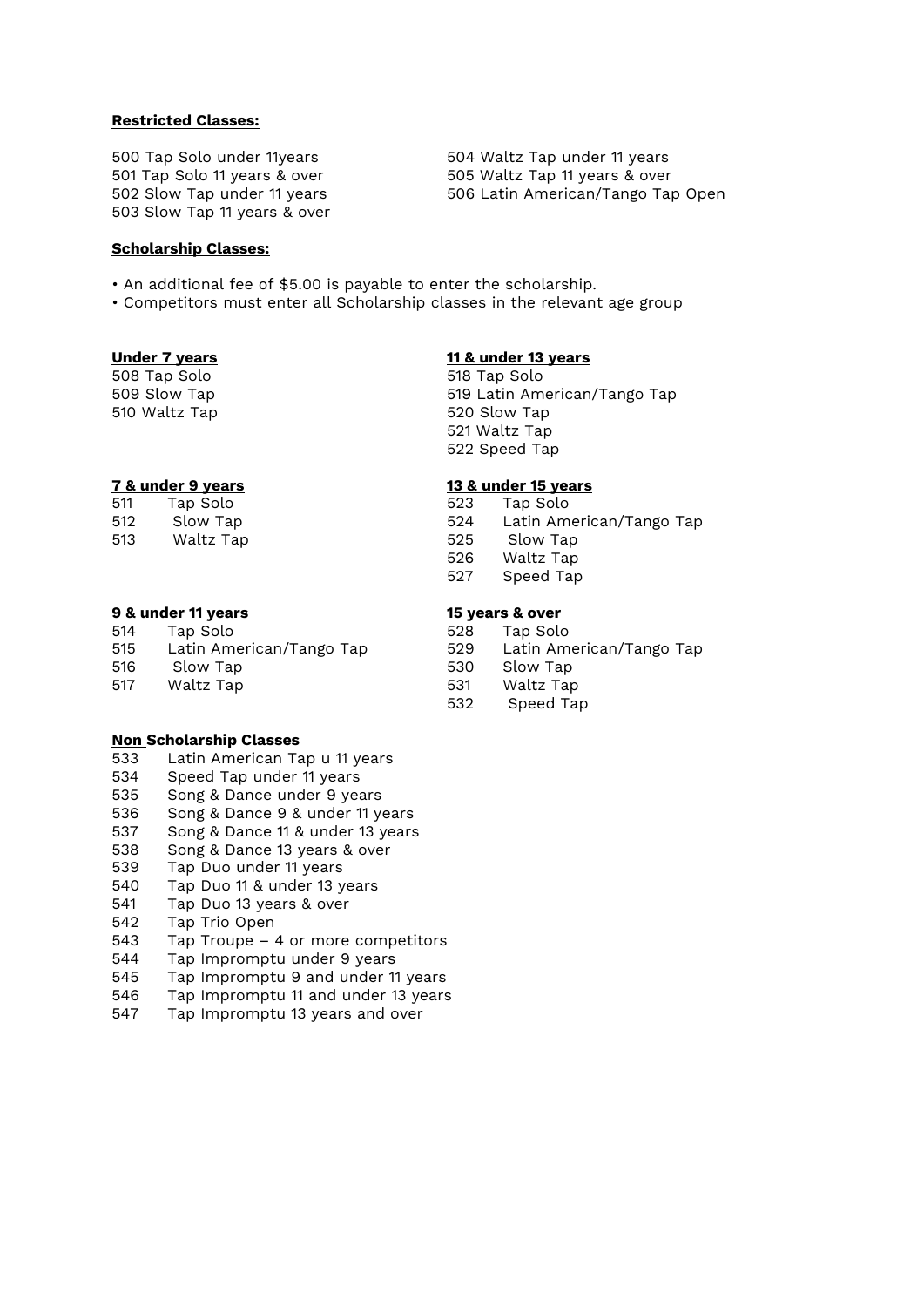#### **Restricted Classes:**

503 Slow Tap 11 years & over

#### **Scholarship Classes:**

• An additional fee of \$5.00 is payable to enter the scholarship.

• Competitors must enter all Scholarship classes in the relevant age group

508 Tap Solo 518 Tap Solo 510 Waltz Tap 520 Slow Tap

| 511 | Tap Solo                 |
|-----|--------------------------|
| 512 | Slow Tap                 |
| 513 | nدT <del>د ۱</del> ۱د/۱۸ |

#### **9 & under 11 years 15 years & over**

514 Tap Solo 528 Tap Solo 515 Latin American/Tango Tap 529 Latin American/Tango Tap 516 Slow Tap 530 Slow Tap 517 Waltz Tap 531 Waltz Tap

#### **Non Scholarship Classes**

- 533 Latin American Tap u 11 years
- 534 Speed Tap under 11 years<br>535 Song & Dance under 9 yea
- Song & Dance under 9 years
- 536 Song & Dance 9 & under 11 years
- 537 Song & Dance 11 & under 13 years
- 538 Song & Dance 13 years & over
- 539 Tap Duo under 11 years
- 540 Tap Duo 11 & under 13 years
- 541 Tap Duo 13 years & over
- 542 Tap Trio Open
- 543 Tap Troupe 4 or more competitors
- 544 Tap Impromptu under 9 years<br>545 Tap Impromptu 9 and under 1
- Tap Impromptu 9 and under 11 years
- 546 Tap Impromptu 11 and under 13 years<br>547 Tap Impromptu 13 years and over
- Tap Impromptu 13 years and over

500 Tap Solo under 11years 504 Waltz Tap under 11 years 501 Tap Solo 11 years & over 505 Waltz Tap 11 years & over 502 Slow Tap under 11 years 506 Latin American/Tango Tap Open

# **Under 7 years 11 & under 13 years**

509 Slow Tap 519 Latin American/Tango Tap 521 Waltz Tap 522 Speed Tap

### **7 & under 9 years 13 & under 15 years**

- 523 Tap Solo
- 524 Latin American/Tango Tap 513 Waltz Tap 525 Slow Tap
	- 526 Waltz Tap
	- 527 Speed Tap

- 
- 
- 
- 
- 532 Speed Tap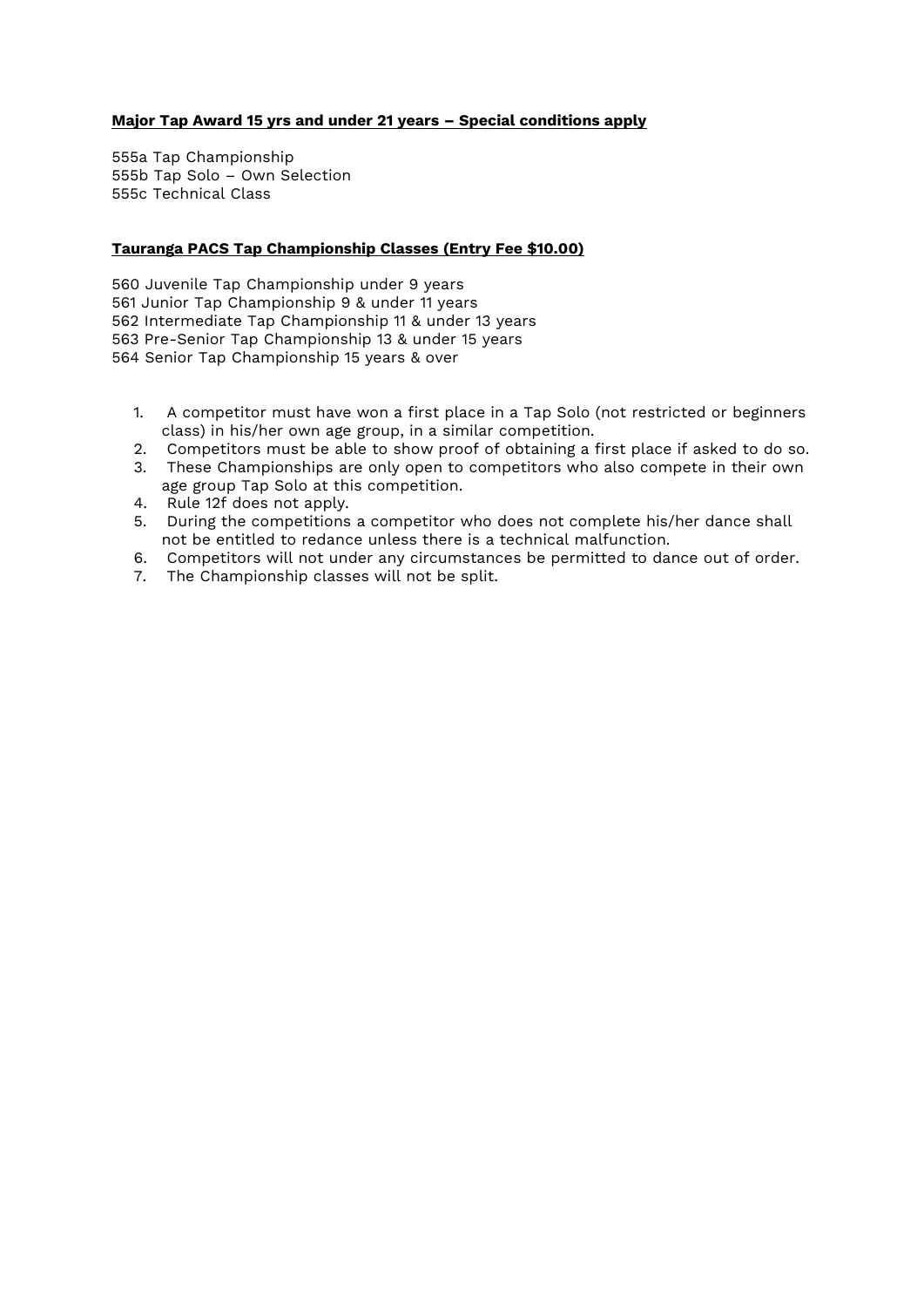# **Major Tap Award 15 yrs and under 21 years – Special conditions apply**

555a Tap Championship 555b Tap Solo – Own Selection 555c Technical Class

# **Tauranga PACS Tap Championship Classes (Entry Fee \$10.00)**

560 Juvenile Tap Championship under 9 years 561 Junior Tap Championship 9 & under 11 years 562 Intermediate Tap Championship 11 & under 13 years 563 Pre-Senior Tap Championship 13 & under 15 years 564 Senior Tap Championship 15 years & over

- 1. A competitor must have won a first place in a Tap Solo (not restricted or beginners class) in his/her own age group, in a similar competition.
- 2. Competitors must be able to show proof of obtaining a first place if asked to do so.
- 3. These Championships are only open to competitors who also compete in their own age group Tap Solo at this competition.
- 4. Rule 12f does not apply.
- 5. During the competitions a competitor who does not complete his/her dance shall not be entitled to redance unless there is a technical malfunction.
- 6. Competitors will not under any circumstances be permitted to dance out of order.
- 7. The Championship classes will not be split.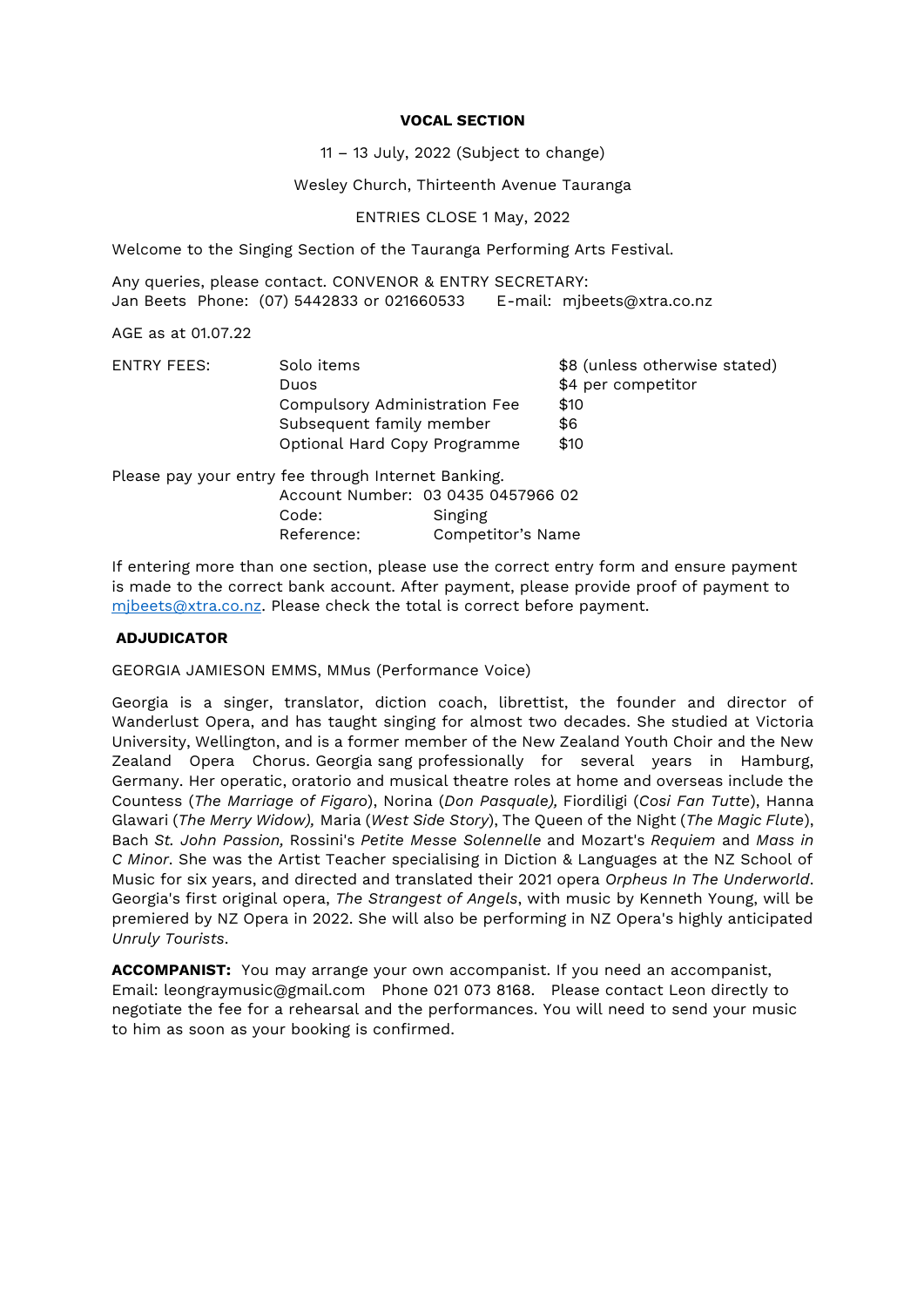#### **VOCAL SECTION**

11 – 13 July, 2022 (Subject to change)

Wesley Church, Thirteenth Avenue Tauranga

ENTRIES CLOSE 1 May, 2022

Welcome to the Singing Section of the Tauranga Performing Arts Festival.

Any queries, please contact. CONVENOR & ENTRY SECRETARY: Jan Beets Phone: (07) 5442833 or 021660533 E-mail: mjbeets@xtra.co.nz

AGE as at 01.07.22

| <b>FNTRY FFFS:</b> | Solo items                    | \$8 (unless otherwise stated) |
|--------------------|-------------------------------|-------------------------------|
|                    | Duos                          | \$4 per competitor            |
|                    | Compulsory Administration Fee | \$10                          |
|                    | Subsequent family member      | \$6                           |
|                    | Optional Hard Copy Programme  | \$10                          |
|                    |                               |                               |

Please pay your entry fee through Internet Banking. Account Number: 03 0435 0457966 02 Code: Singing Reference: Competitor's Name

If entering more than one section, please use the correct entry form and ensure payment is made to the correct bank account. After payment, please provide proof of payment to [mjbeets@xtra.co.nz.](mailto:mjbeets@xtra.co.nz) Please check the total is correct before payment.

### **ADJUDICATOR**

GEORGIA JAMIESON EMMS, MMus (Performance Voice)

Georgia is a singer, translator, diction coach, librettist, the founder and director of Wanderlust Opera, and has taught singing for almost two decades. She studied at Victoria University, Wellington, and is a former member of the New Zealand Youth Choir and the New Zealand Opera Chorus. Georgia sang professionally for several years in Hamburg, Germany. Her operatic, oratorio and musical theatre roles at home and overseas include the Countess (*The Marriage of Figaro*), Norina (*Don Pasquale),* Fiordiligi (*Cosi Fan Tutte*), Hanna Glawari (*The Merry Widow),* Maria (*West Side Story*), The Queen of the Night (*The Magic Flute*), Bach *St. John Passion,* Rossini's *Petite Messe Solennelle* and Mozart's *Requiem* and *Mass in C Minor*. She was the Artist Teacher specialising in Diction & Languages at the NZ School of Music for six years, and directed and translated their 2021 opera *Orpheus In The Underworld*. Georgia's first original opera, *The Strangest of Angels*, with music by Kenneth Young, will be premiered by NZ Opera in 2022. She will also be performing in NZ Opera's highly anticipated *Unruly Tourists*.

**ACCOMPANIST:** You may arrange your own accompanist. If you need an accompanist, Email: leongraymusic@gmail.com Phone 021 073 8168. Please contact Leon directly to negotiate the fee for a rehearsal and the performances. You will need to send your music to him as soon as your booking is confirmed.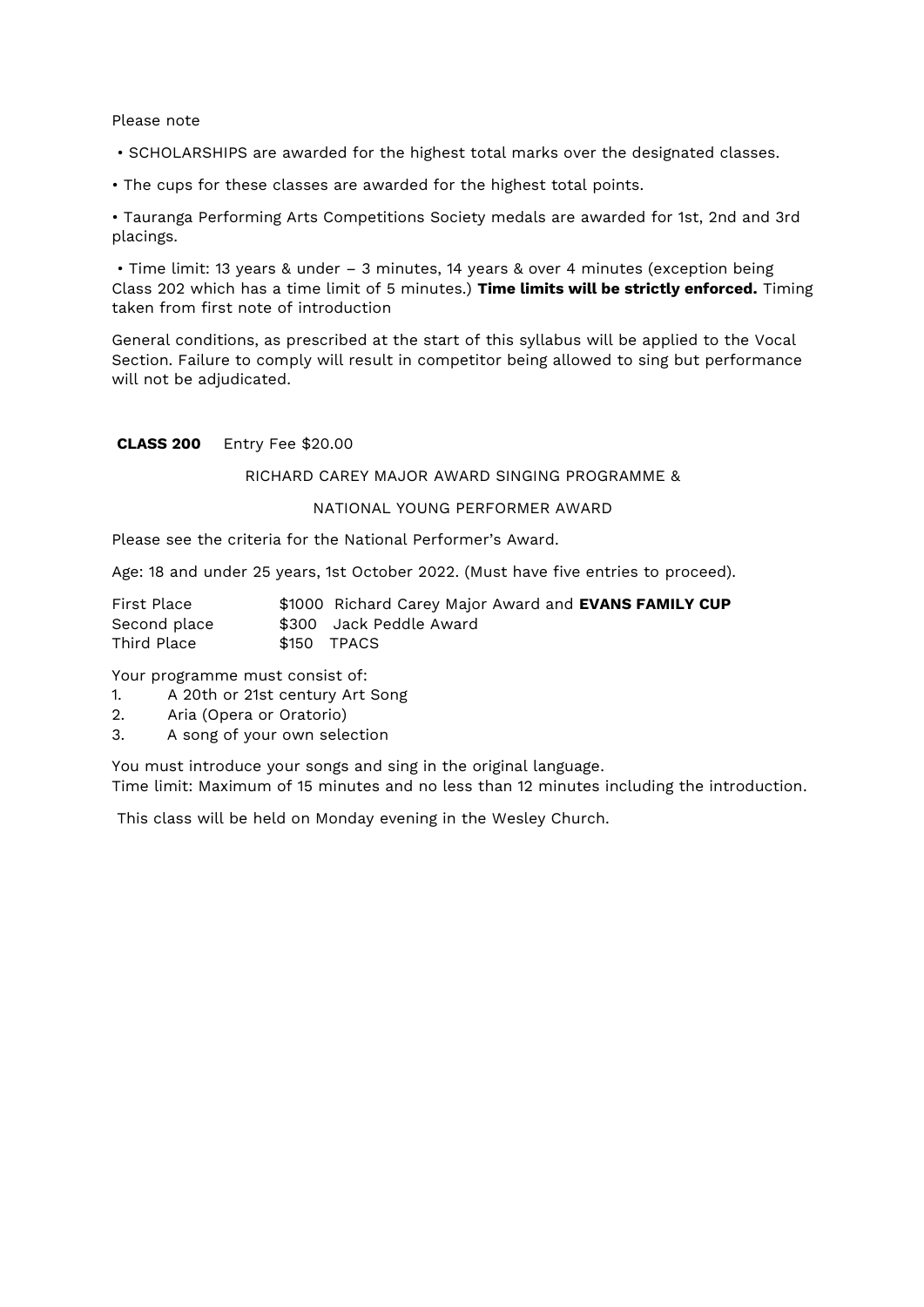#### Please note

- SCHOLARSHIPS are awarded for the highest total marks over the designated classes.
- The cups for these classes are awarded for the highest total points.

• Tauranga Performing Arts Competitions Society medals are awarded for 1st, 2nd and 3rd placings.

• Time limit: 13 years & under – 3 minutes, 14 years & over 4 minutes (exception being Class 202 which has a time limit of 5 minutes.) **Time limits will be strictly enforced.** Timing taken from first note of introduction

General conditions, as prescribed at the start of this syllabus will be applied to the Vocal Section. Failure to comply will result in competitor being allowed to sing but performance will not be adjudicated.

#### **CLASS 200** Entry Fee \$20.00

#### RICHARD CAREY MAJOR AWARD SINGING PROGRAMME &

## NATIONAL YOUNG PERFORMER AWARD

Please see the criteria for the National Performer's Award.

Age: 18 and under 25 years, 1st October 2022. (Must have five entries to proceed).

| First Place  | \$1000 Richard Carey Major Award and <b>EVANS FAMILY CUP</b> |
|--------------|--------------------------------------------------------------|
| Second place | \$300 Jack Peddle Award                                      |
| Third Place  | \$150 TPACS                                                  |

Your programme must consist of:

- 1. A 20th or 21st century Art Song
- 2. Aria (Opera or Oratorio)
- 3. A song of your own selection

You must introduce your songs and sing in the original language. Time limit: Maximum of 15 minutes and no less than 12 minutes including the introduction.

This class will be held on Monday evening in the Wesley Church.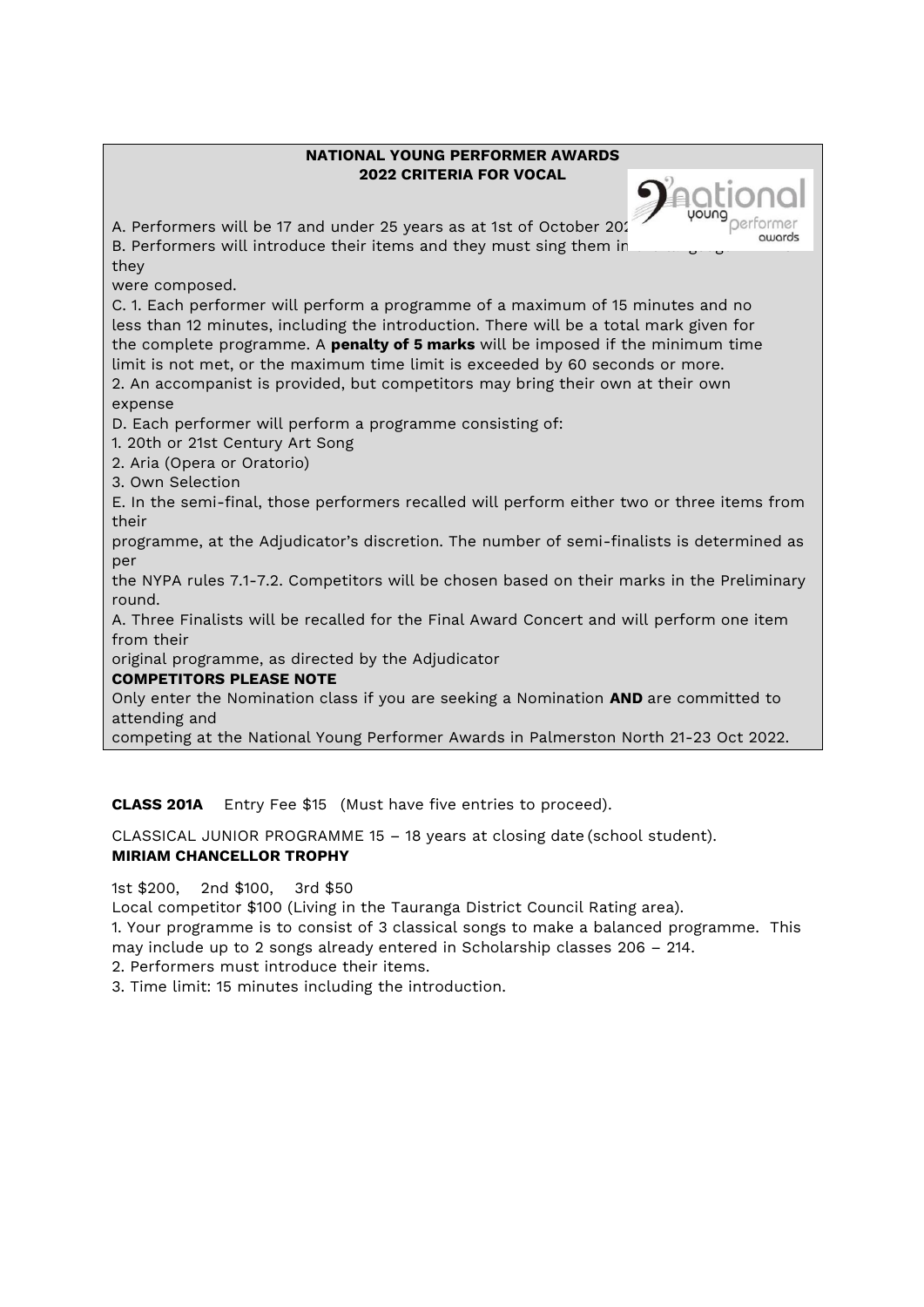# **NATIONAL YOUNG PERFORMER AWARDS 2022 CRITERIA FOR VOCAL**

uouna

Quinrds

A. Performers will be 17 and under 25 years as at 1st of October 2022. B. Performers will introduce their items and they must sing them ir. they

were composed.

C. 1. Each performer will perform a programme of a maximum of 15 minutes and no less than 12 minutes, including the introduction. There will be a total mark given for the complete programme. A **penalty of 5 marks** will be imposed if the minimum time limit is not met, or the maximum time limit is exceeded by 60 seconds or more. 2. An accompanist is provided, but competitors may bring their own at their own expense

D. Each performer will perform a programme consisting of:

1. 20th or 21st Century Art Song

2. Aria (Opera or Oratorio)

3. Own Selection

E. In the semi-final, those performers recalled will perform either two or three items from their

programme, at the Adjudicator's discretion. The number of semi-finalists is determined as per

the NYPA rules 7.1-7.2. Competitors will be chosen based on their marks in the Preliminary round.

A. Three Finalists will be recalled for the Final Award Concert and will perform one item from their

original programme, as directed by the Adjudicator

# **COMPETITORS PLEASE NOTE**

Only enter the Nomination class if you are seeking a Nomination **AND** are committed to attending and

competing at the National Young Performer Awards in Palmerston North 21-23 Oct 2022.

**CLASS 201A** Entry Fee \$15 (Must have five entries to proceed).

CLASSICAL JUNIOR PROGRAMME 15 – 18 years at closing date (school student). **MIRIAM CHANCELLOR TROPHY** 

1st \$200, 2nd \$100, 3rd \$50

Local competitor \$100 (Living in the Tauranga District Council Rating area).

1. Your programme is to consist of 3 classical songs to make a balanced programme. This may include up to 2 songs already entered in Scholarship classes 206 – 214.

2. Performers must introduce their items.

3. Time limit: 15 minutes including the introduction.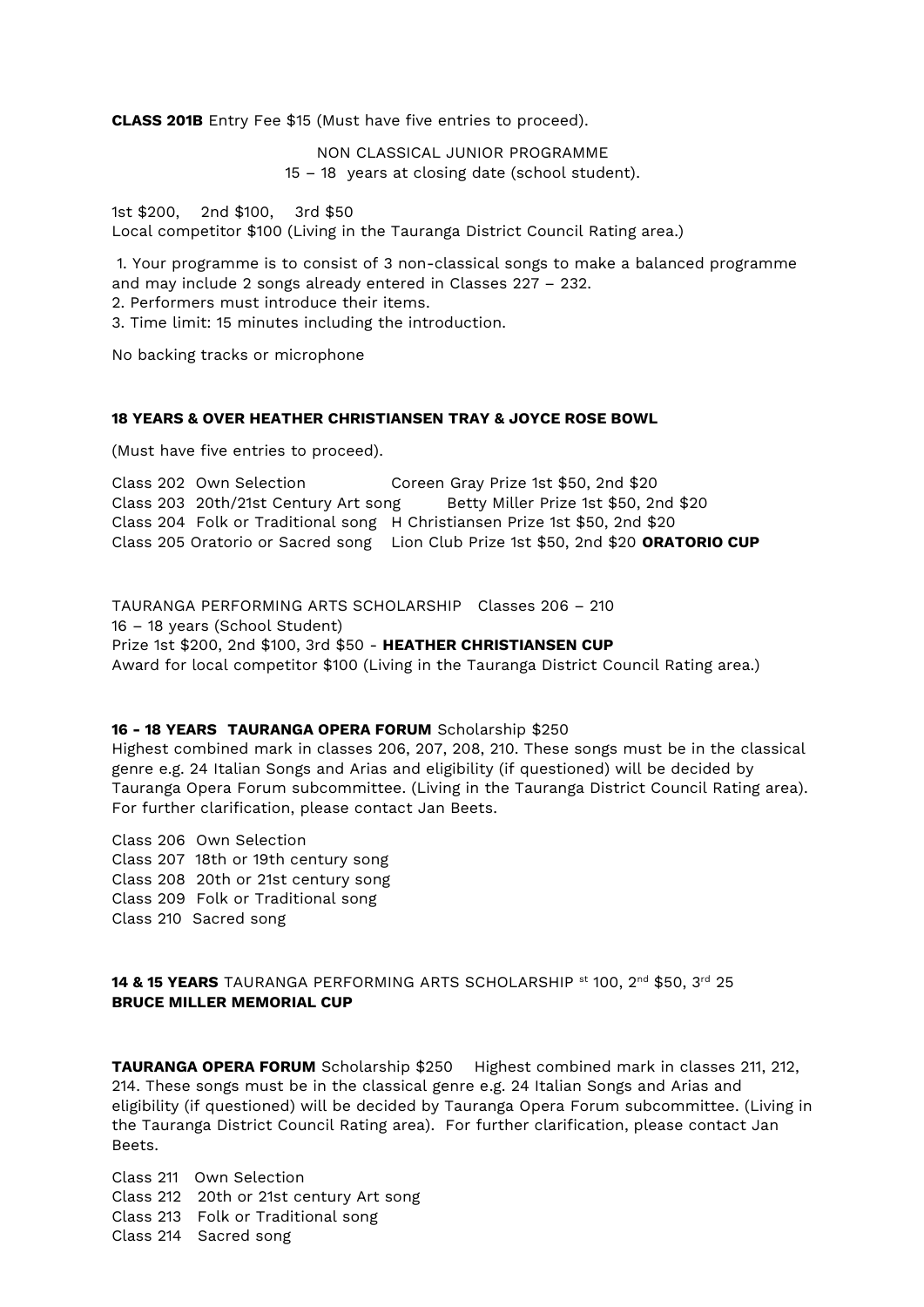**CLASS 201B** Entry Fee \$15 (Must have five entries to proceed).

NON CLASSICAL JUNIOR PROGRAMME 15 – 18 years at closing date (school student).

1st \$200, 2nd \$100, 3rd \$50 Local competitor \$100 (Living in the Tauranga District Council Rating area.)

1. Your programme is to consist of 3 non-classical songs to make a balanced programme and may include 2 songs already entered in Classes 227 – 232.

2. Performers must introduce their items.

3. Time limit: 15 minutes including the introduction.

No backing tracks or microphone

### **18 YEARS & OVER HEATHER CHRISTIANSEN TRAY & JOYCE ROSE BOWL**

(Must have five entries to proceed).

Class 202 Own Selection Coreen Gray Prize 1st \$50, 2nd \$20 Class 203 20th/21st Century Art song Betty Miller Prize 1st \$50, 2nd \$20 Class 204 Folk or Traditional song H Christiansen Prize 1st \$50, 2nd \$20 Class 205 Oratorio or Sacred song Lion Club Prize 1st \$50, 2nd \$20 **ORATORIO CUP**

TAURANGA PERFORMING ARTS SCHOLARSHIP Classes 206 – 210 16 – 18 years (School Student) Prize 1st \$200, 2nd \$100, 3rd \$50 - **HEATHER CHRISTIANSEN CUP** Award for local competitor \$100 (Living in the Tauranga District Council Rating area.)

#### **16 - 18 YEARS TAURANGA OPERA FORUM** Scholarship \$250

Highest combined mark in classes 206, 207, 208, 210. These songs must be in the classical genre e.g. 24 Italian Songs and Arias and eligibility (if questioned) will be decided by Tauranga Opera Forum subcommittee. (Living in the Tauranga District Council Rating area). For further clarification, please contact Jan Beets.

Class 206 Own Selection Class 207 18th or 19th century song Class 208 20th or 21st century song Class 209 Folk or Traditional song Class 210 Sacred song

**14 & 15 YEARS** TAURANGA PERFORMING ARTS SCHOLARSHIP st 100, 2<sup>nd</sup> \$50, 3<sup>rd</sup> 25 **BRUCE MILLER MEMORIAL CUP**

**TAURANGA OPERA FORUM** Scholarship \$250 Highest combined mark in classes 211, 212, 214. These songs must be in the classical genre e.g. 24 Italian Songs and Arias and eligibility (if questioned) will be decided by Tauranga Opera Forum subcommittee. (Living in the Tauranga District Council Rating area). For further clarification, please contact Jan Beets.

Class 211 Own Selection Class 212 20th or 21st century Art song Class 213 Folk or Traditional song Class 214 Sacred song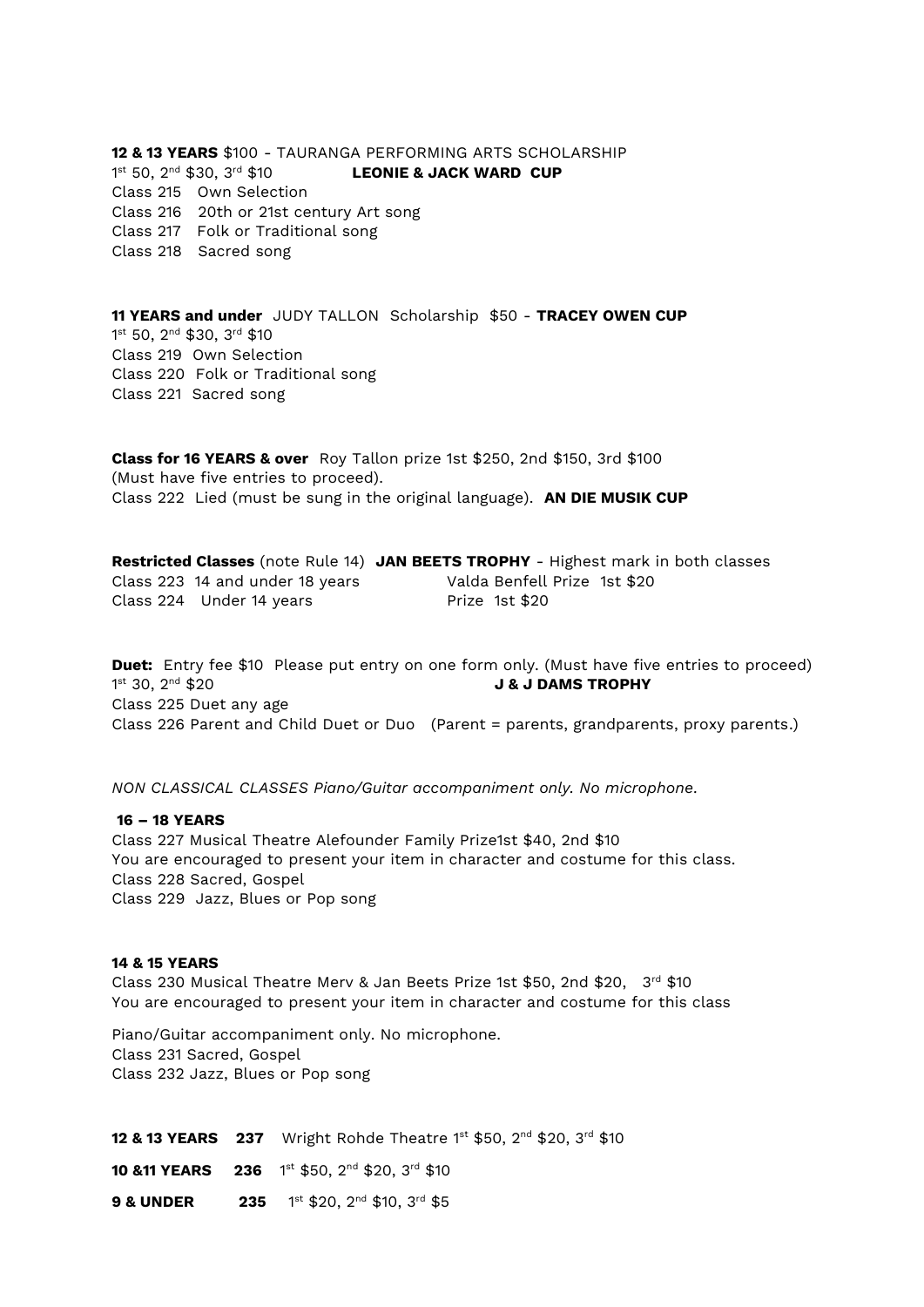**12 & 13 YEARS** \$100 - TAURANGA PERFORMING ARTS SCHOLARSHIP  $1^{\text{st}}$  50,  $2^{\text{nd}}$  \$30,  $3^{\text{rd}}$  \$10 **LEONIE & JACK WARD CUP** Class 215 Own Selection Class 216 20th or 21st century Art song Class 217 Folk or Traditional song Class 218 Sacred song

**11 YEARS and under** JUDY TALLON Scholarship \$50 - **TRACEY OWEN CUP** 1 st 50, 2nd \$30, 3rd \$10 Class 219 Own Selection Class 220 Folk or Traditional song Class 221 Sacred song

**Class for 16 YEARS & over** Roy Tallon prize 1st \$250, 2nd \$150, 3rd \$100 (Must have five entries to proceed). Class 222 Lied (must be sung in the original language). **AN DIE MUSIK CUP**

|                                 | Restricted Classes (note Rule 14) JAN BEETS TROPHY - Highest mark in both classes |
|---------------------------------|-----------------------------------------------------------------------------------|
| Class 223 14 and under 18 years | Valda Benfell Prize 1st \$20                                                      |
| Class 224 Under 14 years        | Prize 1st \$20                                                                    |

**Duet:** Entry fee \$10 Please put entry on one form only. (Must have five entries to proceed) 1st 30, 2nd \$20 **J & J DAMS TROPHY** Class 225 Duet any age Class 226 Parent and Child Duet or Duo (Parent = parents, grandparents, proxy parents.)

*NON CLASSICAL CLASSES Piano/Guitar accompaniment only. No microphone.*

**16 – 18 YEARS**  Class 227 Musical Theatre Alefounder Family Prize1st \$40, 2nd \$10 You are encouraged to present your item in character and costume for this class. Class 228 Sacred, Gospel Class 229 Jazz, Blues or Pop song

#### **14 & 15 YEARS**

Class 230 Musical Theatre Merv & Jan Beets Prize 1st \$50, 2nd \$20, 3rd \$10 You are encouraged to present your item in character and costume for this class

Piano/Guitar accompaniment only. No microphone. Class 231 Sacred, Gospel Class 232 Jazz, Blues or Pop song

**12 & 13 YEARS** 237 Wright Rohde Theatre 1<sup>st</sup> \$50, 2<sup>nd</sup> \$20, 3<sup>rd</sup> \$10 **10 &11 YEARS 236** 1<sup>st</sup> \$50, 2<sup>nd</sup> \$20, 3<sup>rd</sup> \$10 **9 & UNDER 235** 1st \$20, 2nd \$10, 3rd \$5